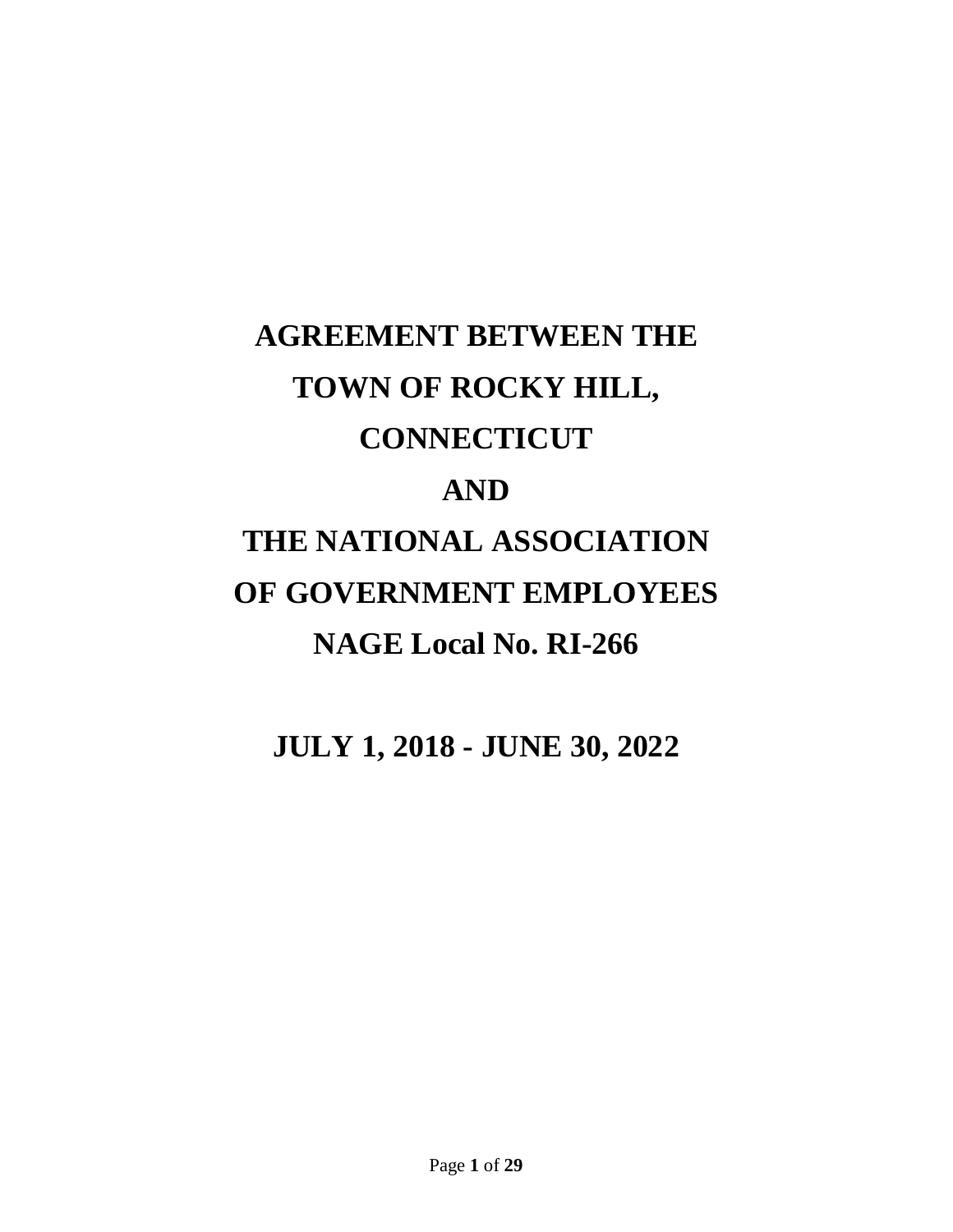# **AGREEMENT BETWEEN THE TOWN OF ROCKY HILL, CONNECTICUT AND THE NATIONAL ASSOCIATION OF GOVERNMENT EMPLOYEES NAGE Local No. RI-266**

**JULY 1, 2018 - JUNE 30, 2022**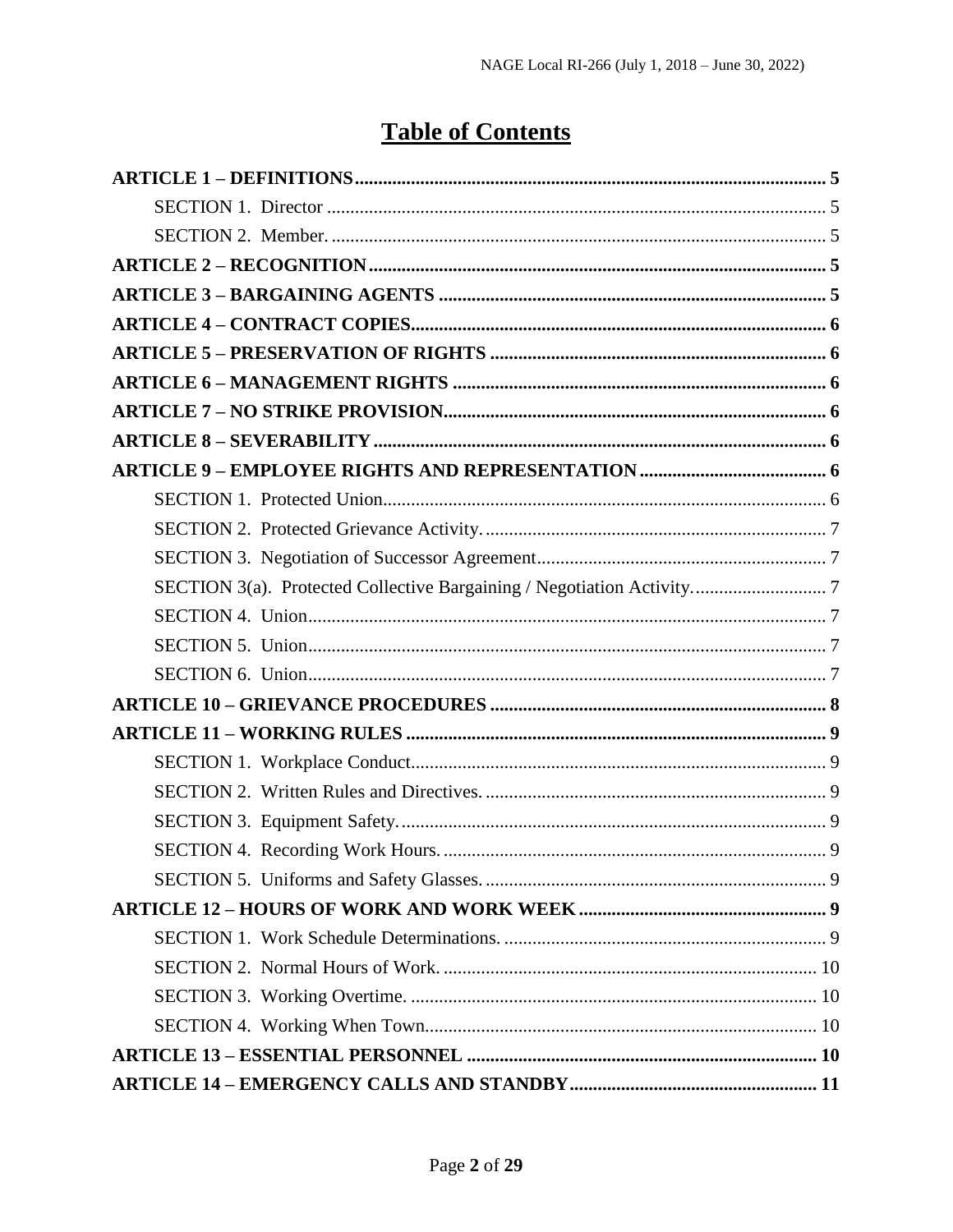# **Table of Contents**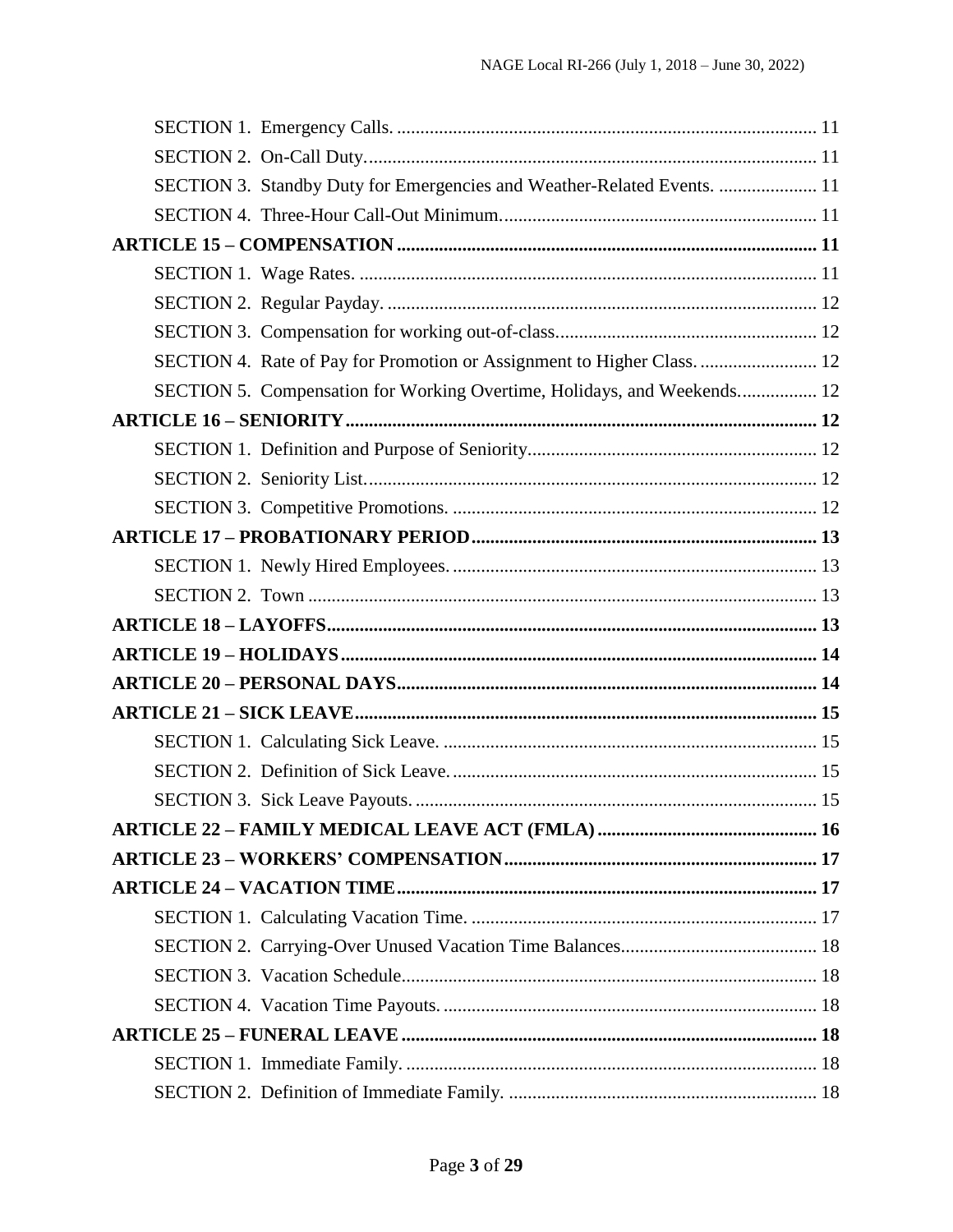| SECTION 3. Standby Duty for Emergencies and Weather-Related Events.  11 |  |
|-------------------------------------------------------------------------|--|
|                                                                         |  |
|                                                                         |  |
|                                                                         |  |
|                                                                         |  |
|                                                                         |  |
| SECTION 4. Rate of Pay for Promotion or Assignment to Higher Class.  12 |  |
| SECTION 5. Compensation for Working Overtime, Holidays, and Weekends 12 |  |
|                                                                         |  |
|                                                                         |  |
|                                                                         |  |
|                                                                         |  |
|                                                                         |  |
|                                                                         |  |
|                                                                         |  |
|                                                                         |  |
|                                                                         |  |
|                                                                         |  |
|                                                                         |  |
|                                                                         |  |
|                                                                         |  |
|                                                                         |  |
|                                                                         |  |
|                                                                         |  |
|                                                                         |  |
|                                                                         |  |
|                                                                         |  |
|                                                                         |  |
|                                                                         |  |
|                                                                         |  |
|                                                                         |  |
|                                                                         |  |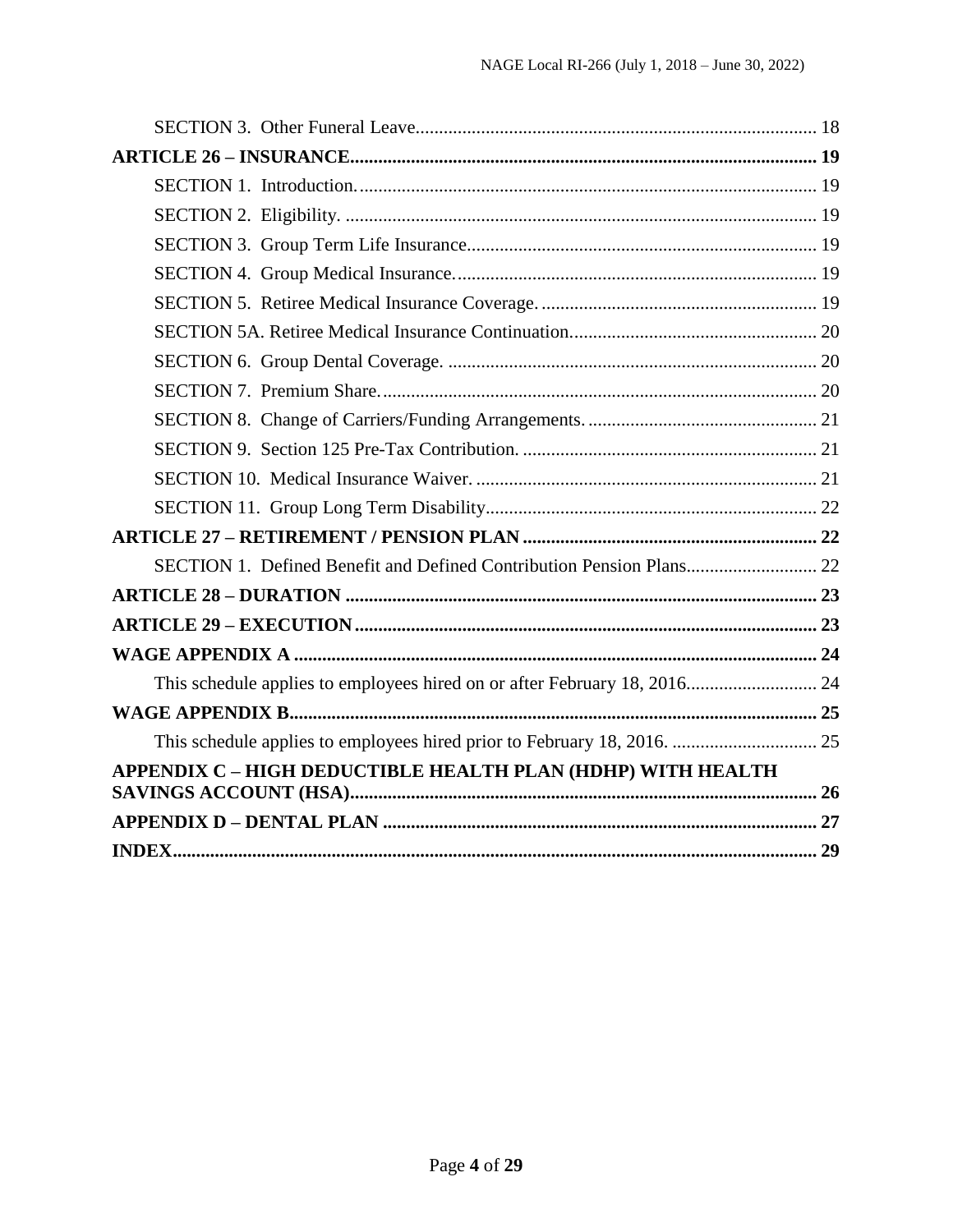| SECTION 1. Defined Benefit and Defined Contribution Pension Plans 22      |  |
|---------------------------------------------------------------------------|--|
|                                                                           |  |
|                                                                           |  |
|                                                                           |  |
| This schedule applies to employees hired on or after February 18, 2016 24 |  |
|                                                                           |  |
| This schedule applies to employees hired prior to February 18, 2016.  25  |  |
| APPENDIX C - HIGH DEDUCTIBLE HEALTH PLAN (HDHP) WITH HEALTH               |  |
|                                                                           |  |
|                                                                           |  |
|                                                                           |  |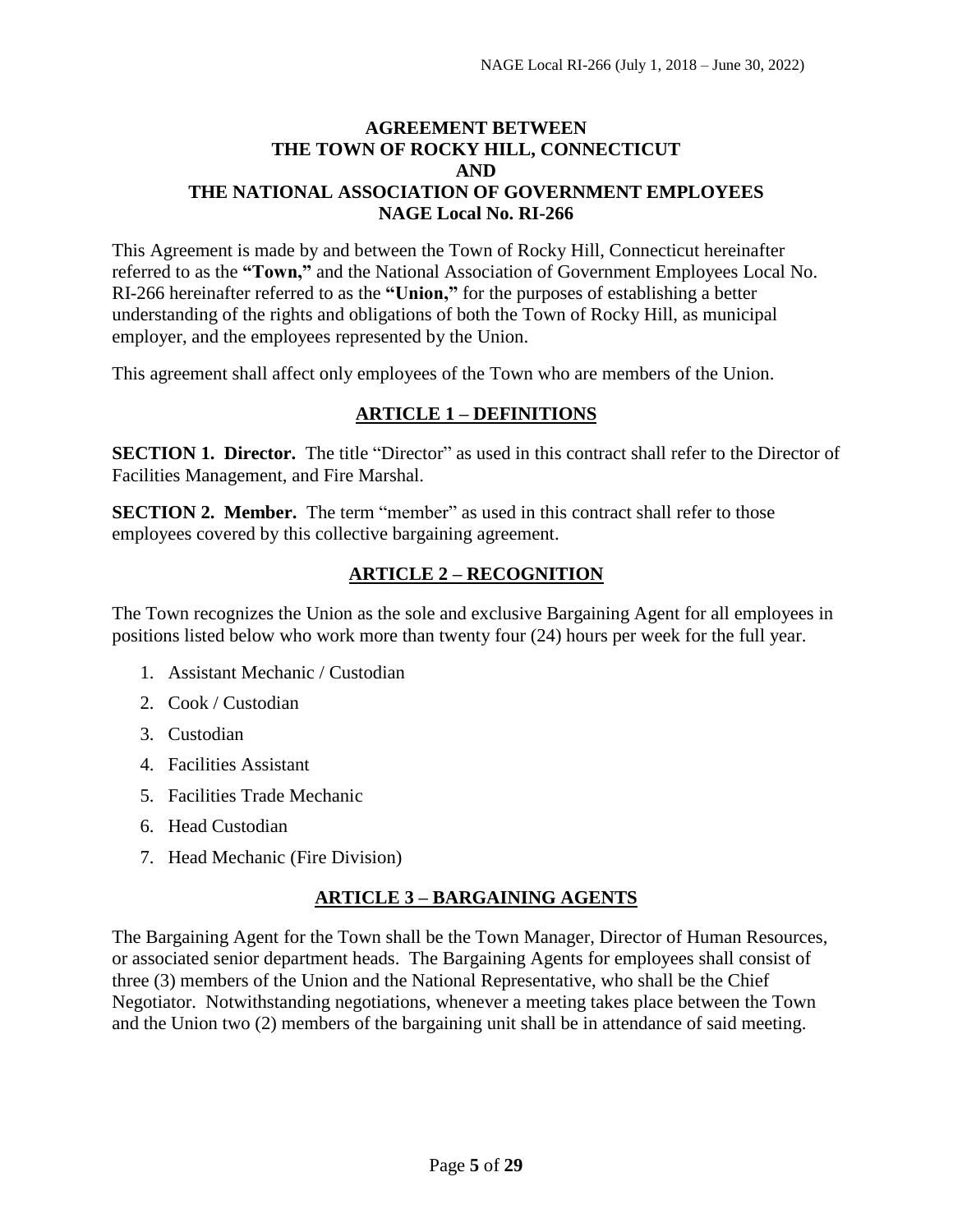#### **AGREEMENT BETWEEN THE TOWN OF ROCKY HILL, CONNECTICUT AND THE NATIONAL ASSOCIATION OF GOVERNMENT EMPLOYEES NAGE Local No. RI-266**

This Agreement is made by and between the Town of Rocky Hill, Connecticut hereinafter referred to as the **"Town,"** and the National Association of Government Employees Local No. RI-266 hereinafter referred to as the **"Union,"** for the purposes of establishing a better understanding of the rights and obligations of both the Town of Rocky Hill, as municipal employer, and the employees represented by the Union.

<span id="page-4-0"></span>This agreement shall affect only employees of the Town who are members of the Union.

#### **ARTICLE 1 – DEFINITIONS**

<span id="page-4-1"></span>**SECTION 1. Director.** The title "Director" as used in this contract shall refer to the Director of Facilities Management, and Fire Marshal.

<span id="page-4-2"></span>**SECTION 2. Member.** The term "member" as used in this contract shall refer to those employees covered by this collective bargaining agreement.

#### **ARTICLE 2 – RECOGNITION**

<span id="page-4-3"></span>The Town recognizes the Union as the sole and exclusive Bargaining Agent for all employees in positions listed below who work more than twenty four (24) hours per week for the full year.

- 1. Assistant Mechanic / Custodian
- 2. Cook / Custodian
- 3. Custodian
- 4. Facilities Assistant
- 5. Facilities Trade Mechanic
- 6. Head Custodian
- <span id="page-4-4"></span>7. Head Mechanic (Fire Division)

#### **ARTICLE 3 – BARGAINING AGENTS**

The Bargaining Agent for the Town shall be the Town Manager, Director of Human Resources, or associated senior department heads. The Bargaining Agents for employees shall consist of three (3) members of the Union and the National Representative, who shall be the Chief Negotiator. Notwithstanding negotiations, whenever a meeting takes place between the Town and the Union two (2) members of the bargaining unit shall be in attendance of said meeting.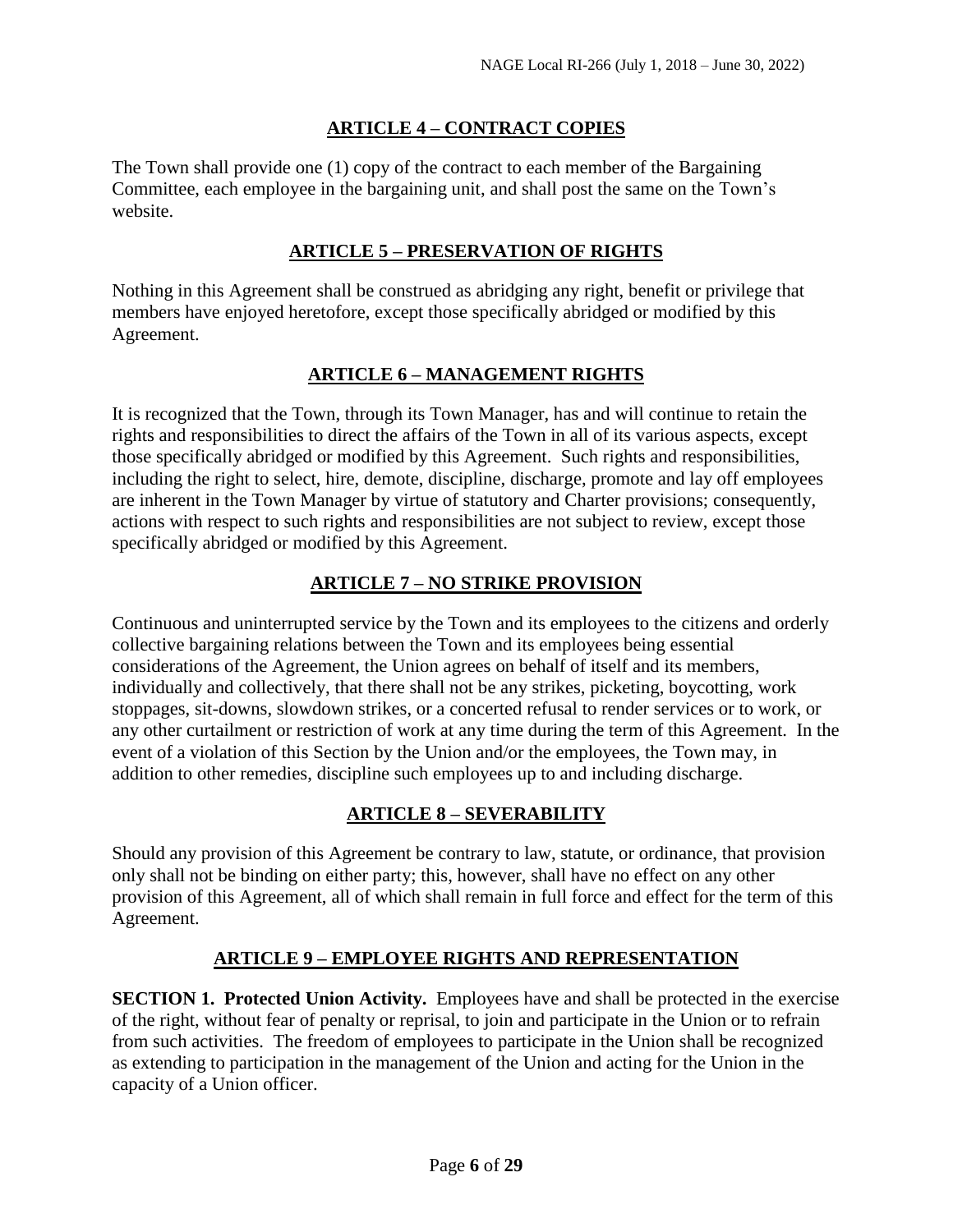# **ARTICLE 4 – CONTRACT COPIES**

<span id="page-5-0"></span>The Town shall provide one (1) copy of the contract to each member of the Bargaining Committee, each employee in the bargaining unit, and shall post the same on the Town's website.

## **ARTICLE 5 – PRESERVATION OF RIGHTS**

<span id="page-5-1"></span>Nothing in this Agreement shall be construed as abridging any right, benefit or privilege that members have enjoyed heretofore, except those specifically abridged or modified by this Agreement.

# **ARTICLE 6 – MANAGEMENT RIGHTS**

<span id="page-5-2"></span>It is recognized that the Town, through its Town Manager, has and will continue to retain the rights and responsibilities to direct the affairs of the Town in all of its various aspects, except those specifically abridged or modified by this Agreement. Such rights and responsibilities, including the right to select, hire, demote, discipline, discharge, promote and lay off employees are inherent in the Town Manager by virtue of statutory and Charter provisions; consequently, actions with respect to such rights and responsibilities are not subject to review, except those specifically abridged or modified by this Agreement.

# **ARTICLE 7 – NO STRIKE PROVISION**

<span id="page-5-3"></span>Continuous and uninterrupted service by the Town and its employees to the citizens and orderly collective bargaining relations between the Town and its employees being essential considerations of the Agreement, the Union agrees on behalf of itself and its members, individually and collectively, that there shall not be any strikes, picketing, boycotting, work stoppages, sit-downs, slowdown strikes, or a concerted refusal to render services or to work, or any other curtailment or restriction of work at any time during the term of this Agreement. In the event of a violation of this Section by the Union and/or the employees, the Town may, in addition to other remedies, discipline such employees up to and including discharge.

# **ARTICLE 8 – SEVERABILITY**

<span id="page-5-4"></span>Should any provision of this Agreement be contrary to law, statute, or ordinance, that provision only shall not be binding on either party; this, however, shall have no effect on any other provision of this Agreement, all of which shall remain in full force and effect for the term of this Agreement.

# **ARTICLE 9 – EMPLOYEE RIGHTS AND REPRESENTATION**

<span id="page-5-6"></span><span id="page-5-5"></span>**SECTION 1. Protected Union Activity.** Employees have and shall be protected in the exercise of the right, without fear of penalty or reprisal, to join and participate in the Union or to refrain from such activities. The freedom of employees to participate in the Union shall be recognized as extending to participation in the management of the Union and acting for the Union in the capacity of a Union officer.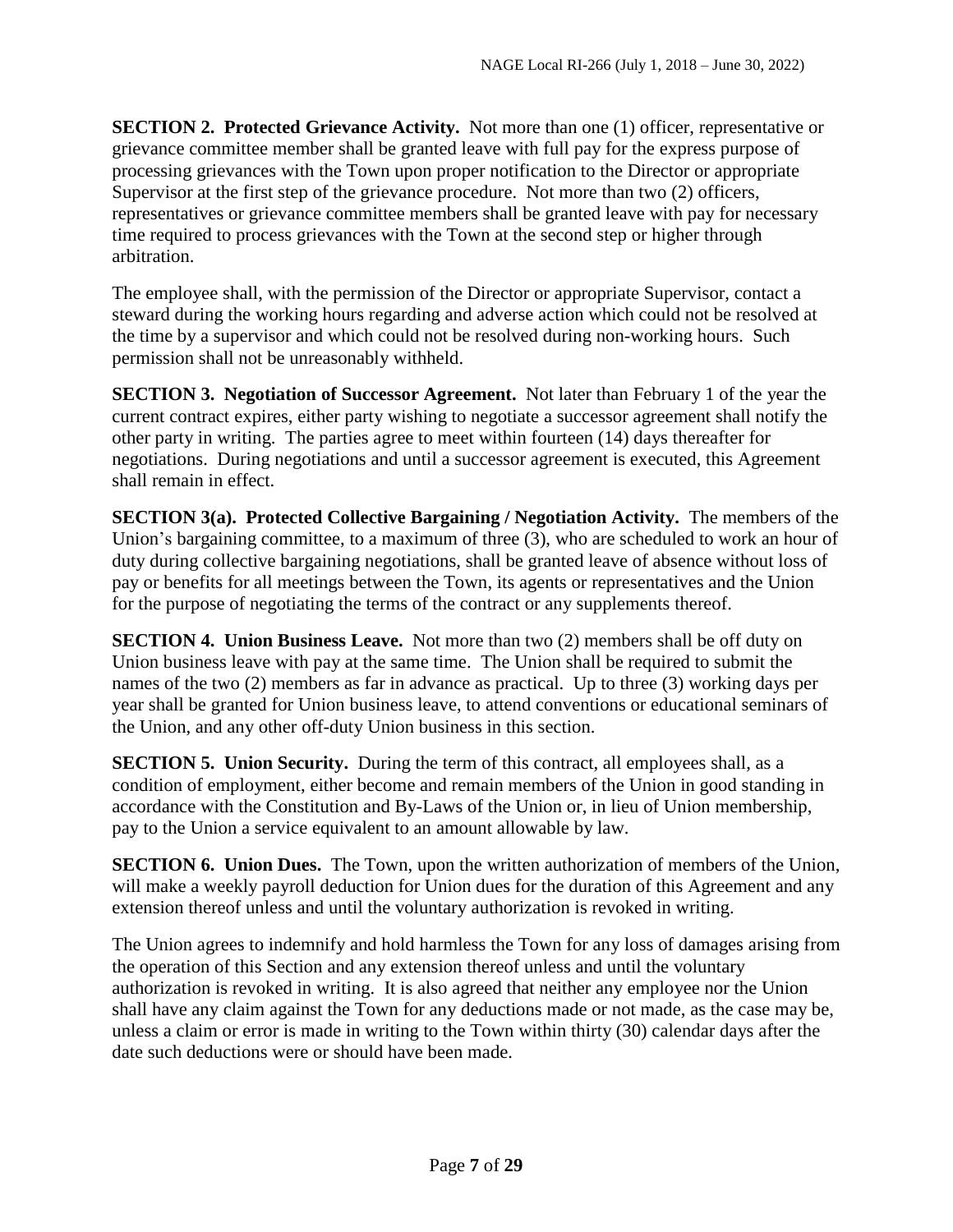<span id="page-6-0"></span>**SECTION 2. Protected Grievance Activity.** Not more than one (1) officer, representative or grievance committee member shall be granted leave with full pay for the express purpose of processing grievances with the Town upon proper notification to the Director or appropriate Supervisor at the first step of the grievance procedure. Not more than two (2) officers, representatives or grievance committee members shall be granted leave with pay for necessary time required to process grievances with the Town at the second step or higher through arbitration.

The employee shall, with the permission of the Director or appropriate Supervisor, contact a steward during the working hours regarding and adverse action which could not be resolved at the time by a supervisor and which could not be resolved during non-working hours. Such permission shall not be unreasonably withheld.

<span id="page-6-1"></span>**SECTION 3. Negotiation of Successor Agreement.** Not later than February 1 of the year the current contract expires, either party wishing to negotiate a successor agreement shall notify the other party in writing. The parties agree to meet within fourteen (14) days thereafter for negotiations. During negotiations and until a successor agreement is executed, this Agreement shall remain in effect.

<span id="page-6-2"></span>**SECTION 3(a). Protected Collective Bargaining / Negotiation Activity.** The members of the Union's bargaining committee, to a maximum of three (3), who are scheduled to work an hour of duty during collective bargaining negotiations, shall be granted leave of absence without loss of pay or benefits for all meetings between the Town, its agents or representatives and the Union for the purpose of negotiating the terms of the contract or any supplements thereof.

<span id="page-6-3"></span>**SECTION 4. Union Business Leave.** Not more than two (2) members shall be off duty on Union business leave with pay at the same time. The Union shall be required to submit the names of the two (2) members as far in advance as practical. Up to three (3) working days per year shall be granted for Union business leave, to attend conventions or educational seminars of the Union, and any other off-duty Union business in this section.

<span id="page-6-4"></span>**SECTION 5. Union Security.** During the term of this contract, all employees shall, as a condition of employment, either become and remain members of the Union in good standing in accordance with the Constitution and By-Laws of the Union or, in lieu of Union membership, pay to the Union a service equivalent to an amount allowable by law.

<span id="page-6-5"></span>**SECTION 6. Union Dues.** The Town, upon the written authorization of members of the Union, will make a weekly payroll deduction for Union dues for the duration of this Agreement and any extension thereof unless and until the voluntary authorization is revoked in writing.

The Union agrees to indemnify and hold harmless the Town for any loss of damages arising from the operation of this Section and any extension thereof unless and until the voluntary authorization is revoked in writing. It is also agreed that neither any employee nor the Union shall have any claim against the Town for any deductions made or not made, as the case may be, unless a claim or error is made in writing to the Town within thirty (30) calendar days after the date such deductions were or should have been made.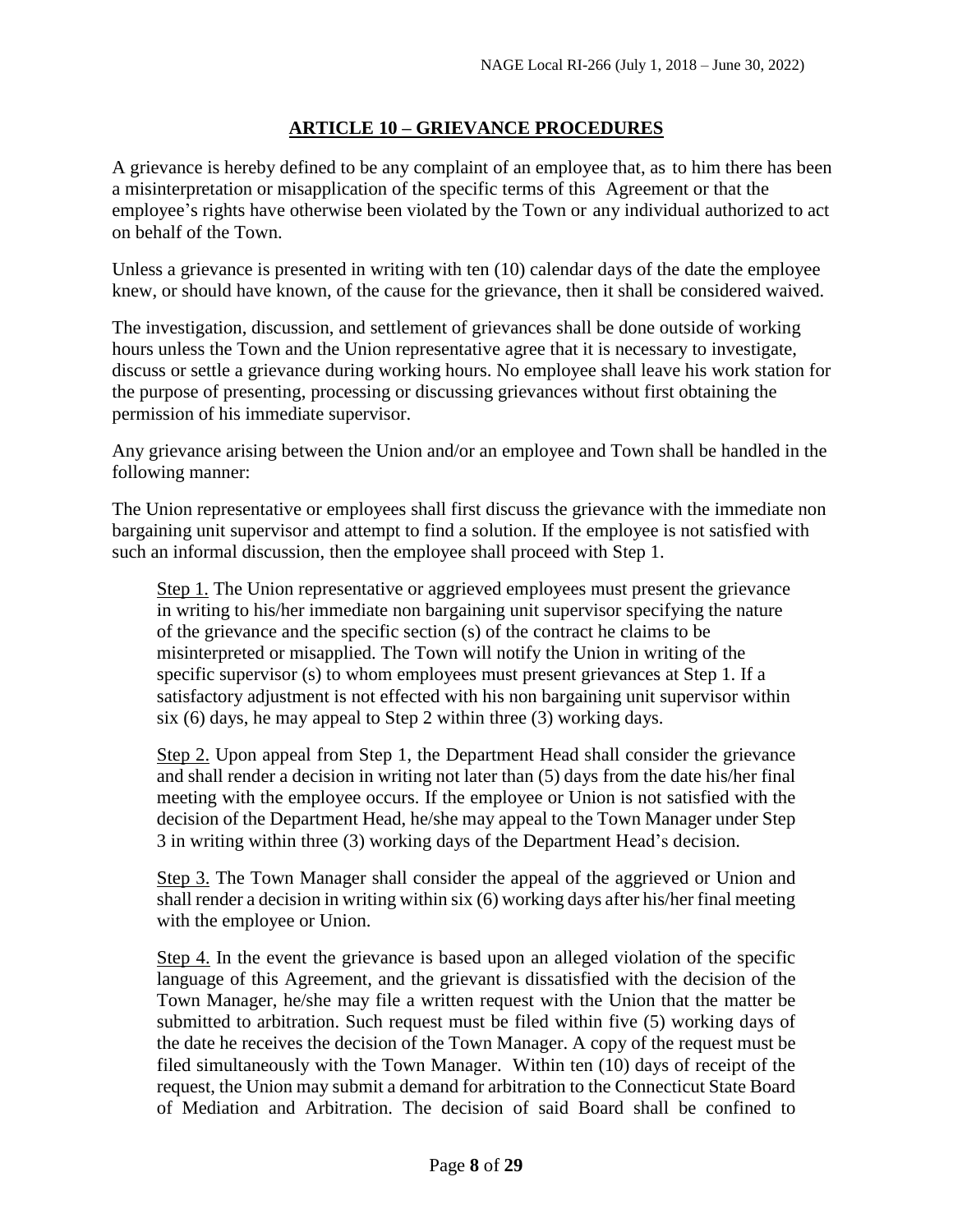# **ARTICLE 10 – GRIEVANCE PROCEDURES**

<span id="page-7-0"></span>A grievance is hereby defined to be any complaint of an employee that, as to him there has been a misinterpretation or misapplication of the specific terms of this Agreement or that the employee's rights have otherwise been violated by the Town or any individual authorized to act on behalf of the Town.

Unless a grievance is presented in writing with ten (10) calendar days of the date the employee knew, or should have known, of the cause for the grievance, then it shall be considered waived.

The investigation, discussion, and settlement of grievances shall be done outside of working hours unless the Town and the Union representative agree that it is necessary to investigate, discuss or settle a grievance during working hours. No employee shall leave his work station for the purpose of presenting, processing or discussing grievances without first obtaining the permission of his immediate supervisor.

Any grievance arising between the Union and/or an employee and Town shall be handled in the following manner:

The Union representative or employees shall first discuss the grievance with the immediate non bargaining unit supervisor and attempt to find a solution. If the employee is not satisfied with such an informal discussion, then the employee shall proceed with Step 1.

Step 1. The Union representative or aggrieved employees must present the grievance in writing to his/her immediate non bargaining unit supervisor specifying the nature of the grievance and the specific section (s) of the contract he claims to be misinterpreted or misapplied. The Town will notify the Union in writing of the specific supervisor (s) to whom employees must present grievances at Step 1. If a satisfactory adjustment is not effected with his non bargaining unit supervisor within six (6) days, he may appeal to Step 2 within three (3) working days.

Step 2. Upon appeal from Step 1, the Department Head shall consider the grievance and shall render a decision in writing not later than (5) days from the date his/her final meeting with the employee occurs. If the employee or Union is not satisfied with the decision of the Department Head, he/she may appeal to the Town Manager under Step 3 in writing within three (3) working days of the Department Head's decision.

Step 3. The Town Manager shall consider the appeal of the aggrieved or Union and shall render a decision in writing within six (6) working days after his/her final meeting with the employee or Union.

Step 4. In the event the grievance is based upon an alleged violation of the specific language of this Agreement, and the grievant is dissatisfied with the decision of the Town Manager, he/she may file a written request with the Union that the matter be submitted to arbitration. Such request must be filed within five (5) working days of the date he receives the decision of the Town Manager. A copy of the request must be filed simultaneously with the Town Manager. Within ten (10) days of receipt of the request, the Union may submit a demand for arbitration to the Connecticut State Board of Mediation and Arbitration. The decision of said Board shall be confined to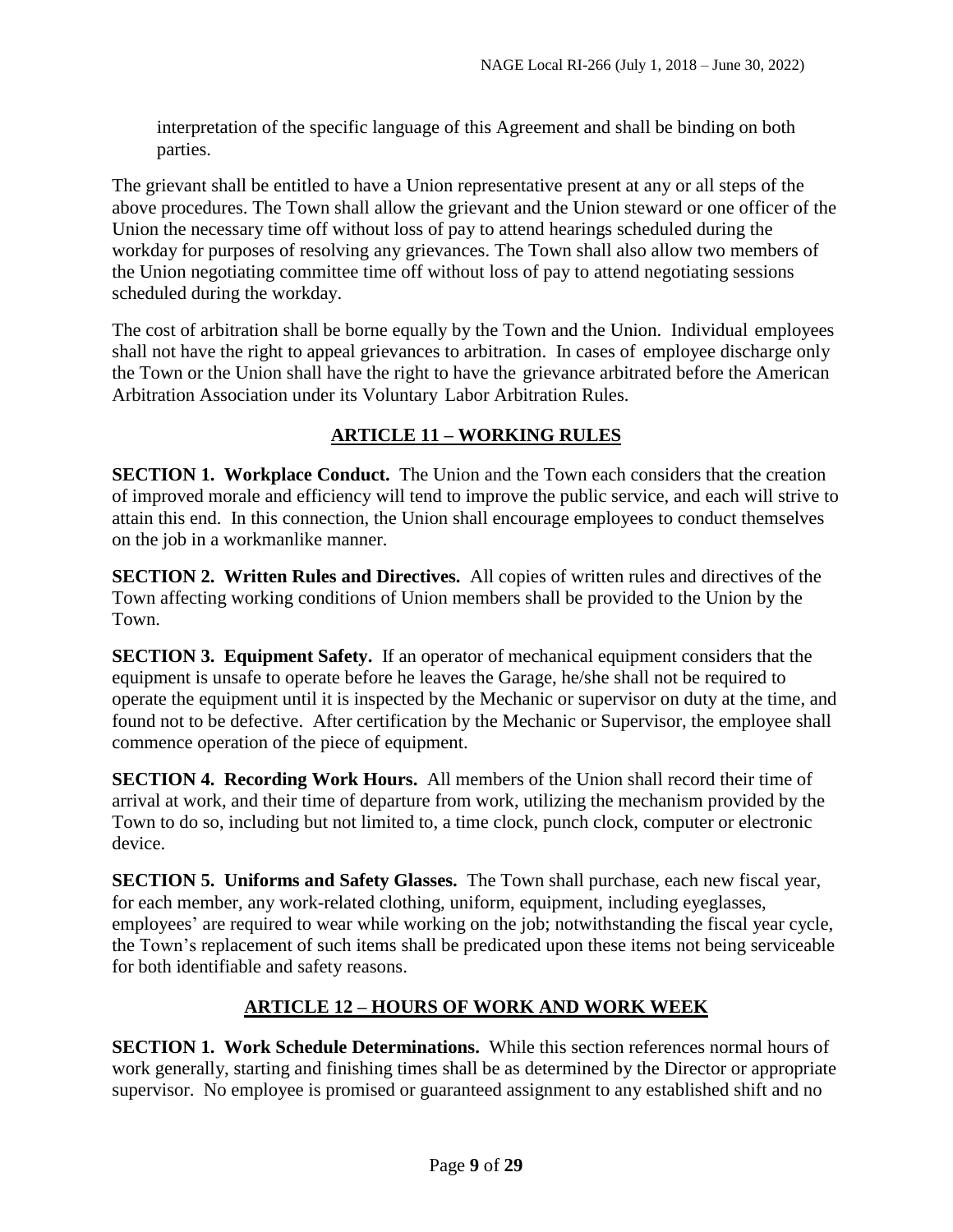interpretation of the specific language of this Agreement and shall be binding on both parties.

The grievant shall be entitled to have a Union representative present at any or all steps of the above procedures. The Town shall allow the grievant and the Union steward or one officer of the Union the necessary time off without loss of pay to attend hearings scheduled during the workday for purposes of resolving any grievances. The Town shall also allow two members of the Union negotiating committee time off without loss of pay to attend negotiating sessions scheduled during the workday.

The cost of arbitration shall be borne equally by the Town and the Union. Individual employees shall not have the right to appeal grievances to arbitration. In cases of employee discharge only the Town or the Union shall have the right to have the grievance arbitrated before the American Arbitration Association under its Voluntary Labor Arbitration Rules.

# **ARTICLE 11 – WORKING RULES**

<span id="page-8-1"></span><span id="page-8-0"></span>**SECTION 1. Workplace Conduct.** The Union and the Town each considers that the creation of improved morale and efficiency will tend to improve the public service, and each will strive to attain this end. In this connection, the Union shall encourage employees to conduct themselves on the job in a workmanlike manner.

<span id="page-8-2"></span>**SECTION 2. Written Rules and Directives.** All copies of written rules and directives of the Town affecting working conditions of Union members shall be provided to the Union by the Town.

<span id="page-8-3"></span>**SECTION 3. Equipment Safety.** If an operator of mechanical equipment considers that the equipment is unsafe to operate before he leaves the Garage, he/she shall not be required to operate the equipment until it is inspected by the Mechanic or supervisor on duty at the time, and found not to be defective. After certification by the Mechanic or Supervisor, the employee shall commence operation of the piece of equipment.

<span id="page-8-4"></span>**SECTION 4. Recording Work Hours.** All members of the Union shall record their time of arrival at work, and their time of departure from work, utilizing the mechanism provided by the Town to do so, including but not limited to, a time clock, punch clock, computer or electronic device.

<span id="page-8-5"></span>**SECTION 5. Uniforms and Safety Glasses.** The Town shall purchase, each new fiscal year, for each member, any work-related clothing, uniform, equipment, including eyeglasses, employees' are required to wear while working on the job; notwithstanding the fiscal year cycle, the Town's replacement of such items shall be predicated upon these items not being serviceable for both identifiable and safety reasons.

# **ARTICLE 12 – HOURS OF WORK AND WORK WEEK**

<span id="page-8-7"></span><span id="page-8-6"></span>**SECTION 1. Work Schedule Determinations.** While this section references normal hours of work generally, starting and finishing times shall be as determined by the Director or appropriate supervisor. No employee is promised or guaranteed assignment to any established shift and no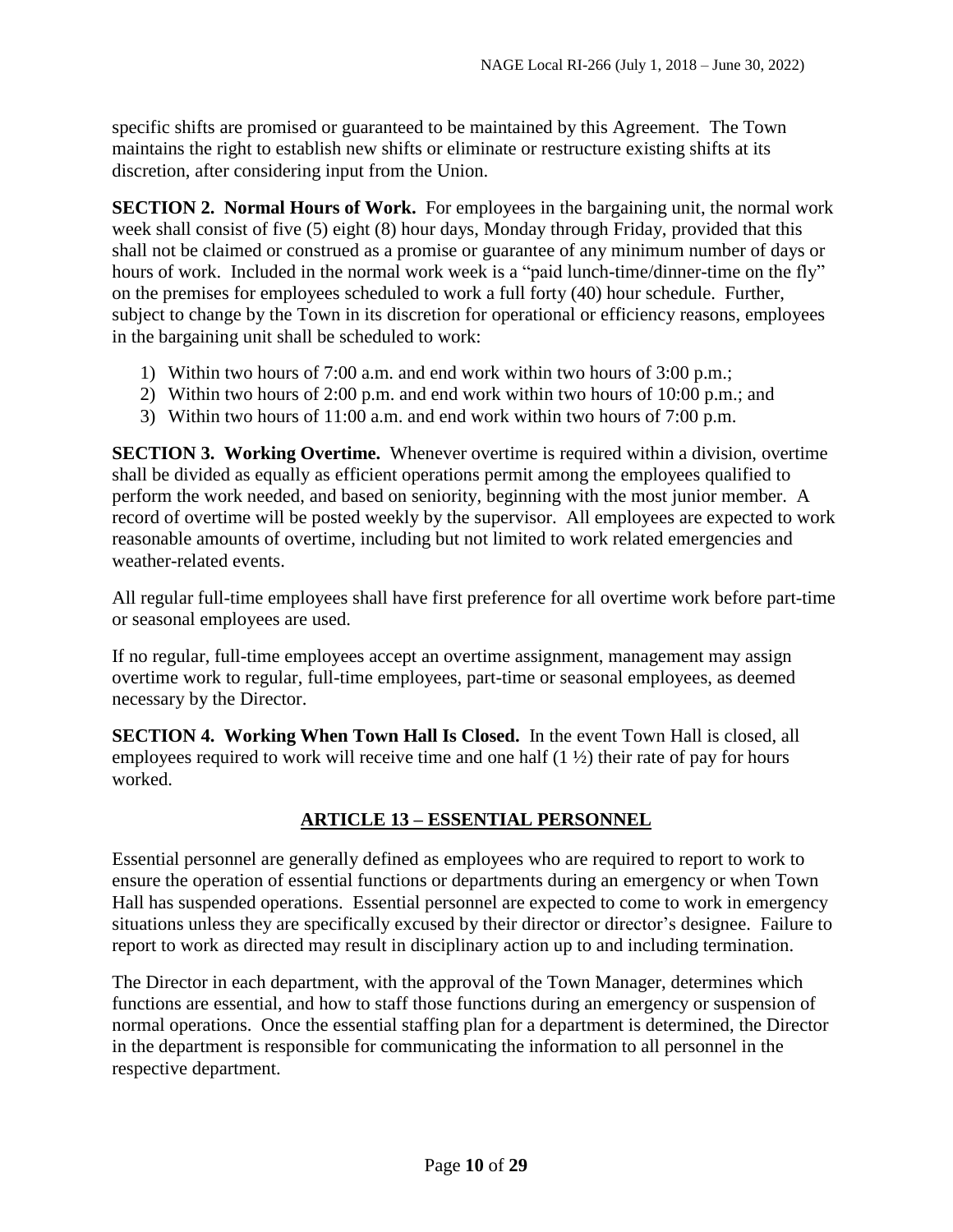specific shifts are promised or guaranteed to be maintained by this Agreement. The Town maintains the right to establish new shifts or eliminate or restructure existing shifts at its discretion, after considering input from the Union.

<span id="page-9-0"></span>**SECTION 2. Normal Hours of Work.** For employees in the bargaining unit, the normal work week shall consist of five (5) eight (8) hour days, Monday through Friday, provided that this shall not be claimed or construed as a promise or guarantee of any minimum number of days or hours of work. Included in the normal work week is a "paid lunch-time/dinner-time on the fly" on the premises for employees scheduled to work a full forty (40) hour schedule. Further, subject to change by the Town in its discretion for operational or efficiency reasons, employees in the bargaining unit shall be scheduled to work:

- 1) Within two hours of 7:00 a.m. and end work within two hours of 3:00 p.m.;
- 2) Within two hours of 2:00 p.m. and end work within two hours of 10:00 p.m.; and
- 3) Within two hours of 11:00 a.m. and end work within two hours of 7:00 p.m.

<span id="page-9-1"></span>**SECTION 3. Working Overtime.** Whenever overtime is required within a division, overtime shall be divided as equally as efficient operations permit among the employees qualified to perform the work needed, and based on seniority, beginning with the most junior member. A record of overtime will be posted weekly by the supervisor. All employees are expected to work reasonable amounts of overtime, including but not limited to work related emergencies and weather-related events.

All regular full-time employees shall have first preference for all overtime work before part-time or seasonal employees are used.

If no regular, full-time employees accept an overtime assignment, management may assign overtime work to regular, full-time employees, part-time or seasonal employees, as deemed necessary by the Director.

<span id="page-9-2"></span>**SECTION 4. Working When Town Hall Is Closed.** In the event Town Hall is closed, all employees required to work will receive time and one half  $(1 \frac{1}{2})$  their rate of pay for hours worked.

# **ARTICLE 13 – ESSENTIAL PERSONNEL**

<span id="page-9-3"></span>Essential personnel are generally defined as employees who are required to report to work to ensure the operation of essential functions or departments during an emergency or when Town Hall has suspended operations. Essential personnel are expected to come to work in emergency situations unless they are specifically excused by their director or director's designee. Failure to report to work as directed may result in disciplinary action up to and including termination.

The Director in each department, with the approval of the Town Manager, determines which functions are essential, and how to staff those functions during an emergency or suspension of normal operations. Once the essential staffing plan for a department is determined, the Director in the department is responsible for communicating the information to all personnel in the respective department.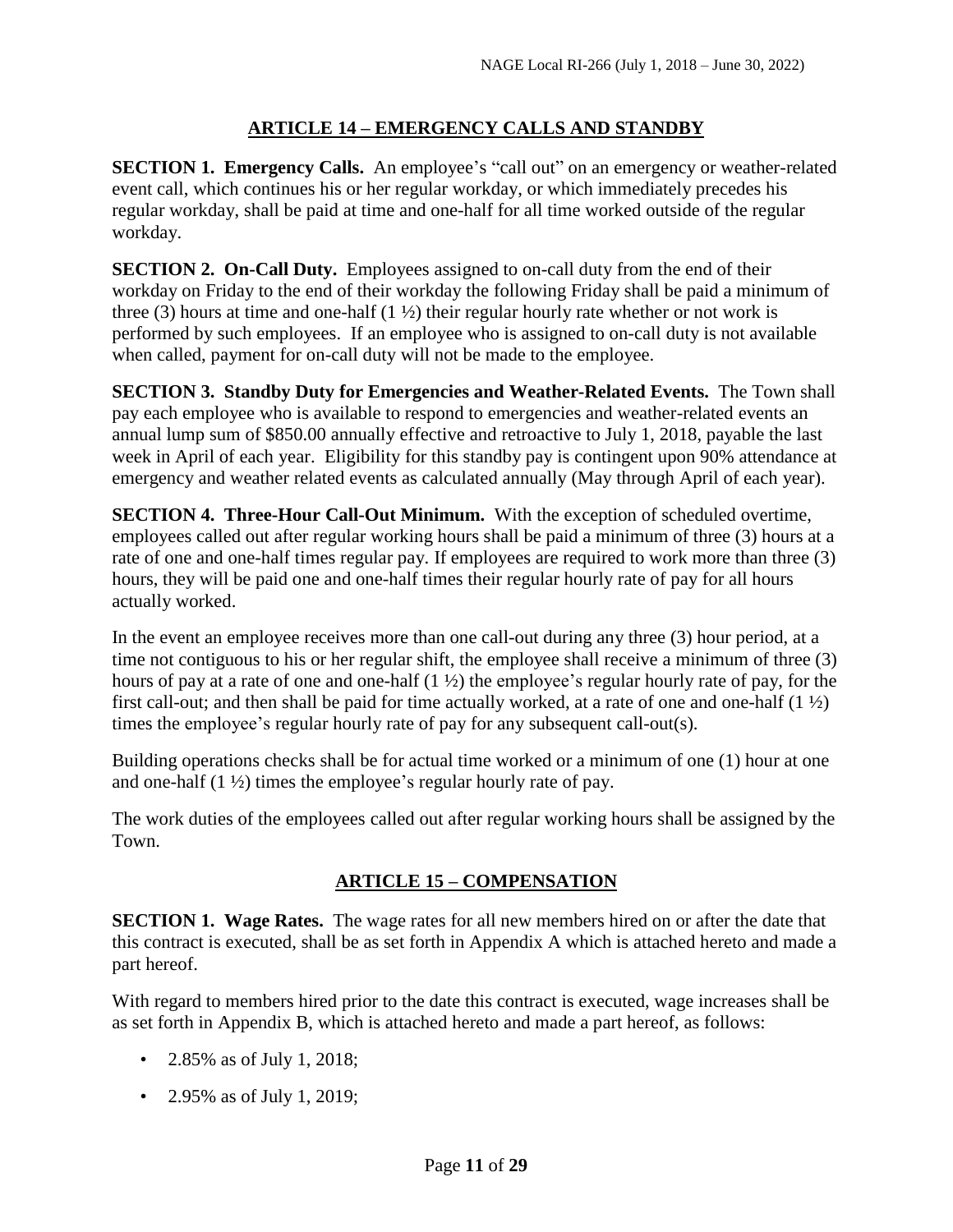# **ARTICLE 14 – EMERGENCY CALLS AND STANDBY**

<span id="page-10-1"></span><span id="page-10-0"></span>**SECTION 1. Emergency Calls.** An employee's "call out" on an emergency or weather-related event call, which continues his or her regular workday, or which immediately precedes his regular workday, shall be paid at time and one-half for all time worked outside of the regular workday.

<span id="page-10-2"></span>**SECTION 2. On-Call Duty.** Employees assigned to on-call duty from the end of their workday on Friday to the end of their workday the following Friday shall be paid a minimum of three (3) hours at time and one-half  $(1 \frac{1}{2})$  their regular hourly rate whether or not work is performed by such employees. If an employee who is assigned to on-call duty is not available when called, payment for on-call duty will not be made to the employee.

<span id="page-10-3"></span>**SECTION 3. Standby Duty for Emergencies and Weather-Related Events.** The Town shall pay each employee who is available to respond to emergencies and weather-related events an annual lump sum of \$850.00 annually effective and retroactive to July 1, 2018, payable the last week in April of each year. Eligibility for this standby pay is contingent upon 90% attendance at emergency and weather related events as calculated annually (May through April of each year).

<span id="page-10-4"></span>**SECTION 4. Three-Hour Call-Out Minimum.** With the exception of scheduled overtime, employees called out after regular working hours shall be paid a minimum of three (3) hours at a rate of one and one-half times regular pay. If employees are required to work more than three (3) hours, they will be paid one and one-half times their regular hourly rate of pay for all hours actually worked.

In the event an employee receives more than one call-out during any three (3) hour period, at a time not contiguous to his or her regular shift, the employee shall receive a minimum of three (3) hours of pay at a rate of one and one-half (1 ½) the employee's regular hourly rate of pay, for the first call-out; and then shall be paid for time actually worked, at a rate of one and one-half  $(1 \frac{1}{2})$ times the employee's regular hourly rate of pay for any subsequent call-out(s).

Building operations checks shall be for actual time worked or a minimum of one (1) hour at one and one-half  $(1 \frac{1}{2})$  times the employee's regular hourly rate of pay.

The work duties of the employees called out after regular working hours shall be assigned by the Town.

# **ARTICLE 15 – COMPENSATION**

<span id="page-10-6"></span><span id="page-10-5"></span>**SECTION 1. Wage Rates.** The wage rates for all new members hired on or after the date that this contract is executed, shall be as set forth in Appendix A which is attached hereto and made a part hereof.

With regard to members hired prior to the date this contract is executed, wage increases shall be as set forth in Appendix B, which is attached hereto and made a part hereof, as follows:

- 2.85% as of July 1, 2018;
- 2.95% as of July 1, 2019;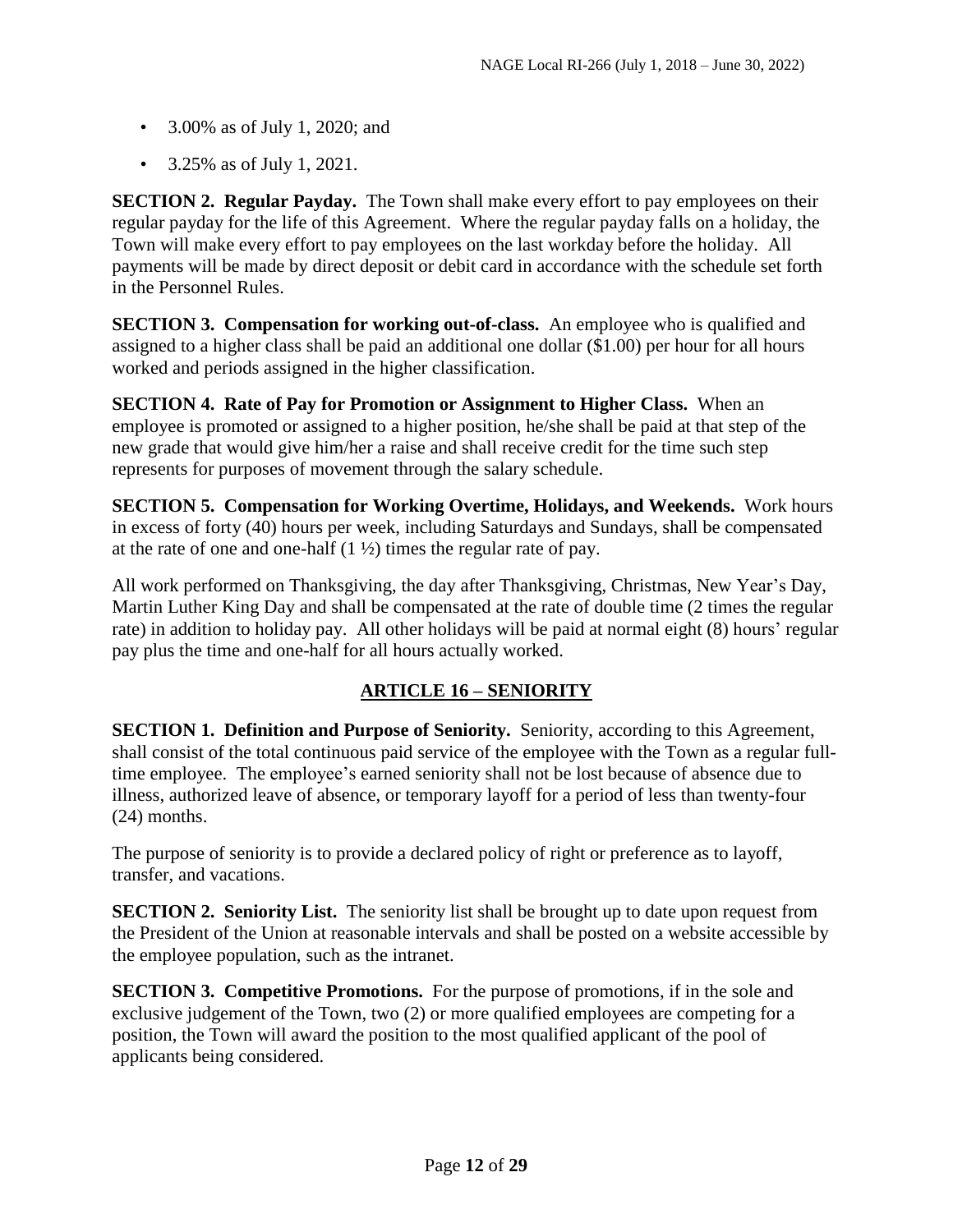- 3.00% as of July 1, 2020; and
- 3.25% as of July 1, 2021.

<span id="page-11-0"></span>**SECTION 2. Regular Payday.** The Town shall make every effort to pay employees on their regular payday for the life of this Agreement. Where the regular payday falls on a holiday, the Town will make every effort to pay employees on the last workday before the holiday. All payments will be made by direct deposit or debit card in accordance with the schedule set forth in the Personnel Rules.

<span id="page-11-1"></span>**SECTION 3. Compensation for working out-of-class.** An employee who is qualified and assigned to a higher class shall be paid an additional one dollar (\$1.00) per hour for all hours worked and periods assigned in the higher classification.

<span id="page-11-2"></span>**SECTION 4. Rate of Pay for Promotion or Assignment to Higher Class.** When an employee is promoted or assigned to a higher position, he/she shall be paid at that step of the new grade that would give him/her a raise and shall receive credit for the time such step represents for purposes of movement through the salary schedule.

<span id="page-11-3"></span>**SECTION 5. Compensation for Working Overtime, Holidays, and Weekends.** Work hours in excess of forty (40) hours per week, including Saturdays and Sundays, shall be compensated at the rate of one and one-half  $(1 \frac{1}{2})$  times the regular rate of pay.

All work performed on Thanksgiving, the day after Thanksgiving, Christmas, New Year's Day, Martin Luther King Day and shall be compensated at the rate of double time (2 times the regular rate) in addition to holiday pay. All other holidays will be paid at normal eight (8) hours' regular pay plus the time and one-half for all hours actually worked.

# **ARTICLE 16 – SENIORITY**

<span id="page-11-5"></span><span id="page-11-4"></span>**SECTION 1. Definition and Purpose of Seniority.** Seniority, according to this Agreement, shall consist of the total continuous paid service of the employee with the Town as a regular fulltime employee. The employee's earned seniority shall not be lost because of absence due to illness, authorized leave of absence, or temporary layoff for a period of less than twenty-four (24) months.

The purpose of seniority is to provide a declared policy of right or preference as to layoff, transfer, and vacations.

<span id="page-11-6"></span>**SECTION 2. Seniority List.** The seniority list shall be brought up to date upon request from the President of the Union at reasonable intervals and shall be posted on a website accessible by the employee population, such as the intranet.

<span id="page-11-7"></span>**SECTION 3. Competitive Promotions.** For the purpose of promotions, if in the sole and exclusive judgement of the Town, two (2) or more qualified employees are competing for a position, the Town will award the position to the most qualified applicant of the pool of applicants being considered.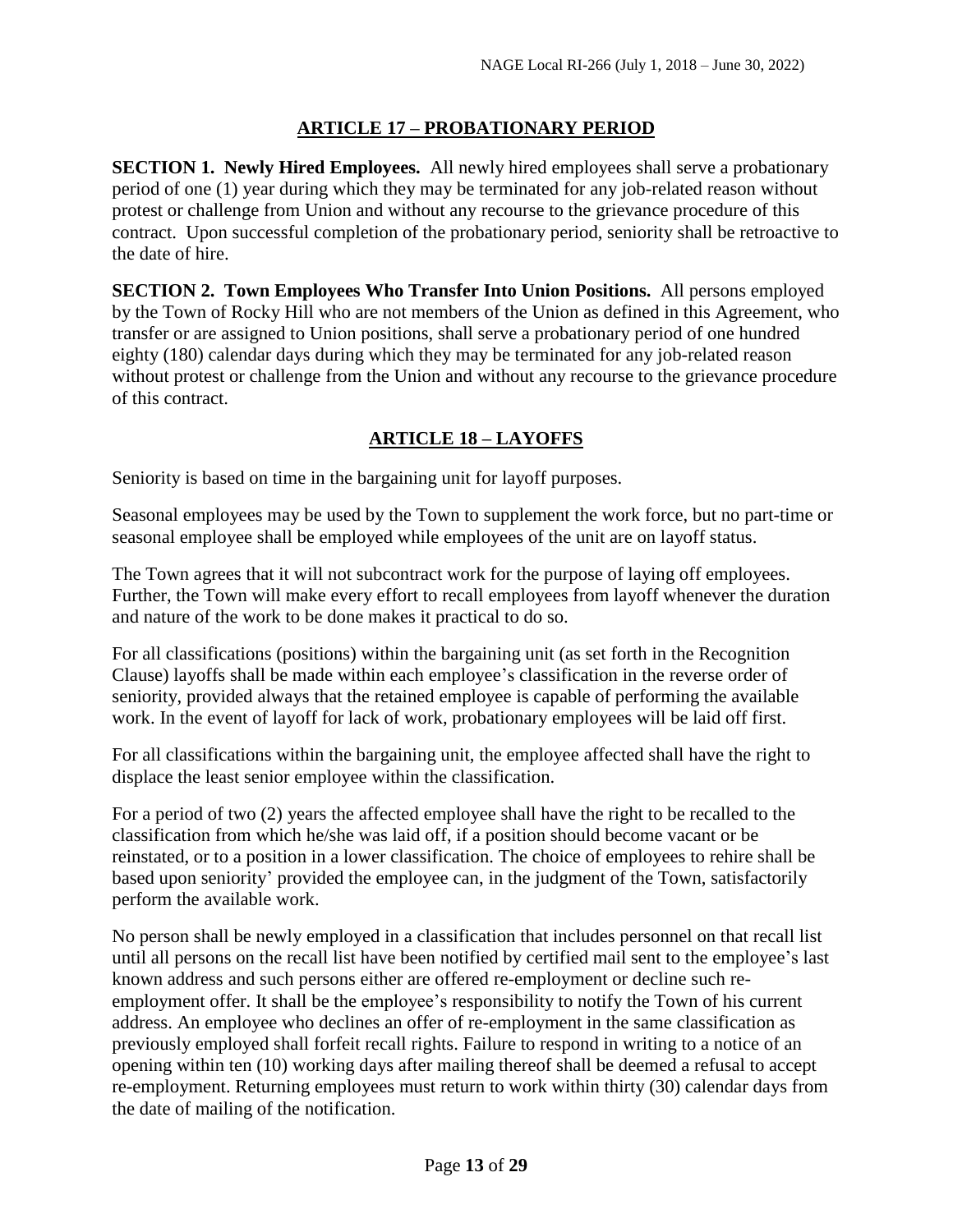# **ARTICLE 17 – PROBATIONARY PERIOD**

<span id="page-12-1"></span><span id="page-12-0"></span>**SECTION 1. Newly Hired Employees.** All newly hired employees shall serve a probationary period of one (1) year during which they may be terminated for any job-related reason without protest or challenge from Union and without any recourse to the grievance procedure of this contract. Upon successful completion of the probationary period, seniority shall be retroactive to the date of hire.

<span id="page-12-2"></span>**SECTION 2. Town Employees Who Transfer Into Union Positions.** All persons employed by the Town of Rocky Hill who are not members of the Union as defined in this Agreement, who transfer or are assigned to Union positions, shall serve a probationary period of one hundred eighty (180) calendar days during which they may be terminated for any job-related reason without protest or challenge from the Union and without any recourse to the grievance procedure of this contract.

# **ARTICLE 18 – LAYOFFS**

<span id="page-12-3"></span>Seniority is based on time in the bargaining unit for layoff purposes.

Seasonal employees may be used by the Town to supplement the work force, but no part-time or seasonal employee shall be employed while employees of the unit are on layoff status.

The Town agrees that it will not subcontract work for the purpose of laying off employees. Further, the Town will make every effort to recall employees from layoff whenever the duration and nature of the work to be done makes it practical to do so.

For all classifications (positions) within the bargaining unit (as set forth in the Recognition Clause) layoffs shall be made within each employee's classification in the reverse order of seniority, provided always that the retained employee is capable of performing the available work. In the event of layoff for lack of work, probationary employees will be laid off first.

For all classifications within the bargaining unit, the employee affected shall have the right to displace the least senior employee within the classification.

For a period of two (2) years the affected employee shall have the right to be recalled to the classification from which he/she was laid off, if a position should become vacant or be reinstated, or to a position in a lower classification. The choice of employees to rehire shall be based upon seniority' provided the employee can, in the judgment of the Town, satisfactorily perform the available work.

No person shall be newly employed in a classification that includes personnel on that recall list until all persons on the recall list have been notified by certified mail sent to the employee's last known address and such persons either are offered re-employment or decline such reemployment offer. It shall be the employee's responsibility to notify the Town of his current address. An employee who declines an offer of re-employment in the same classification as previously employed shall forfeit recall rights. Failure to respond in writing to a notice of an opening within ten (10) working days after mailing thereof shall be deemed a refusal to accept re-employment. Returning employees must return to work within thirty (30) calendar days from the date of mailing of the notification.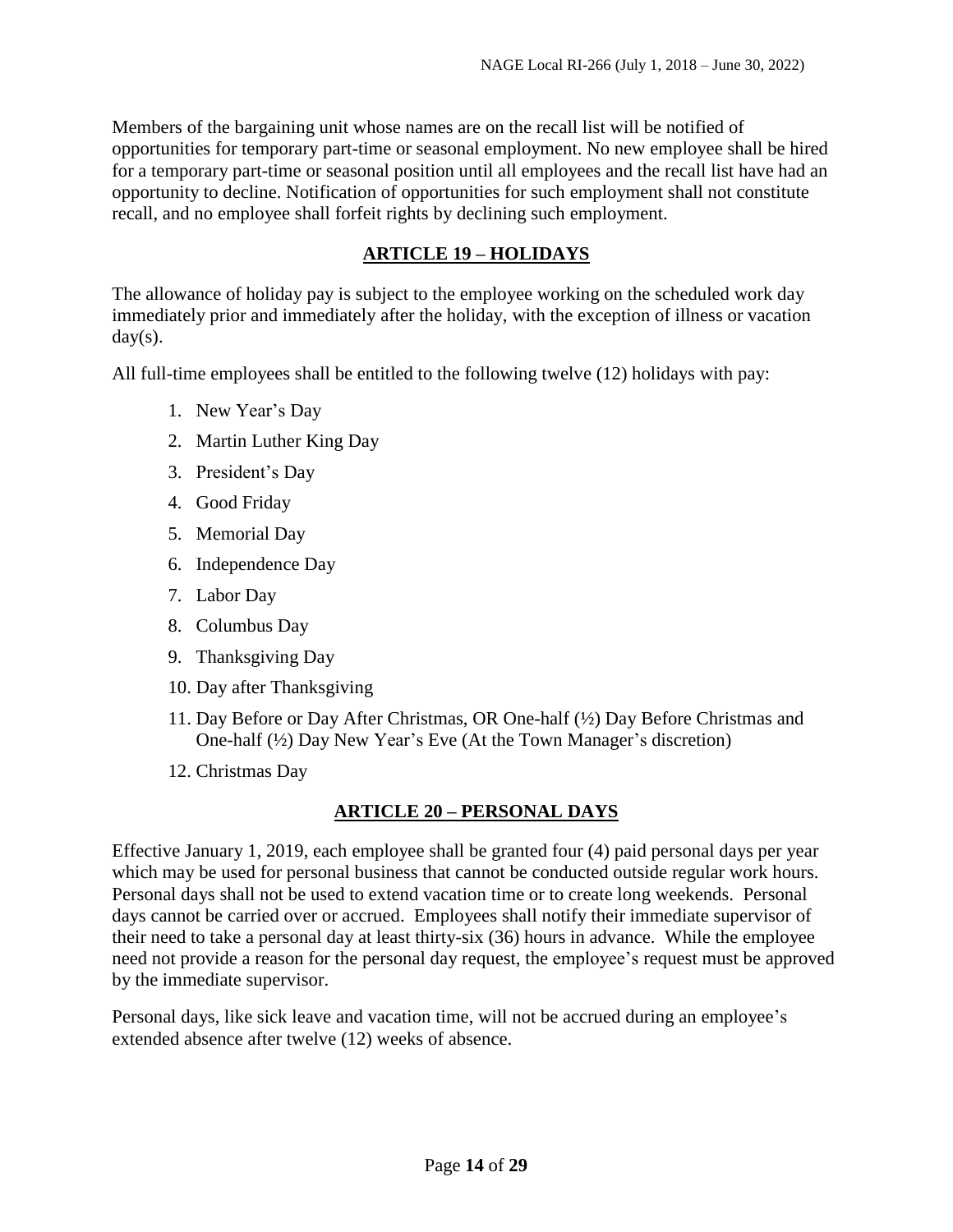Members of the bargaining unit whose names are on the recall list will be notified of opportunities for temporary part-time or seasonal employment. No new employee shall be hired for a temporary part-time or seasonal position until all employees and the recall list have had an opportunity to decline. Notification of opportunities for such employment shall not constitute recall, and no employee shall forfeit rights by declining such employment.

## **ARTICLE 19 – HOLIDAYS**

<span id="page-13-0"></span>The allowance of holiday pay is subject to the employee working on the scheduled work day immediately prior and immediately after the holiday, with the exception of illness or vacation  $day(s)$ .

All full-time employees shall be entitled to the following twelve (12) holidays with pay:

- 1. New Year's Day
- 2. Martin Luther King Day
- 3. President's Day
- 4. Good Friday
- 5. Memorial Day
- 6. Independence Day
- 7. Labor Day
- 8. Columbus Day
- 9. Thanksgiving Day
- 10. Day after Thanksgiving
- 11. Day Before or Day After Christmas, OR One-half (½) Day Before Christmas and One-half (½) Day New Year's Eve (At the Town Manager's discretion)
- 12. Christmas Day

# **ARTICLE 20 – PERSONAL DAYS**

<span id="page-13-1"></span>Effective January 1, 2019, each employee shall be granted four (4) paid personal days per year which may be used for personal business that cannot be conducted outside regular work hours. Personal days shall not be used to extend vacation time or to create long weekends. Personal days cannot be carried over or accrued. Employees shall notify their immediate supervisor of their need to take a personal day at least thirty-six (36) hours in advance. While the employee need not provide a reason for the personal day request, the employee's request must be approved by the immediate supervisor.

Personal days, like sick leave and vacation time, will not be accrued during an employee's extended absence after twelve (12) weeks of absence.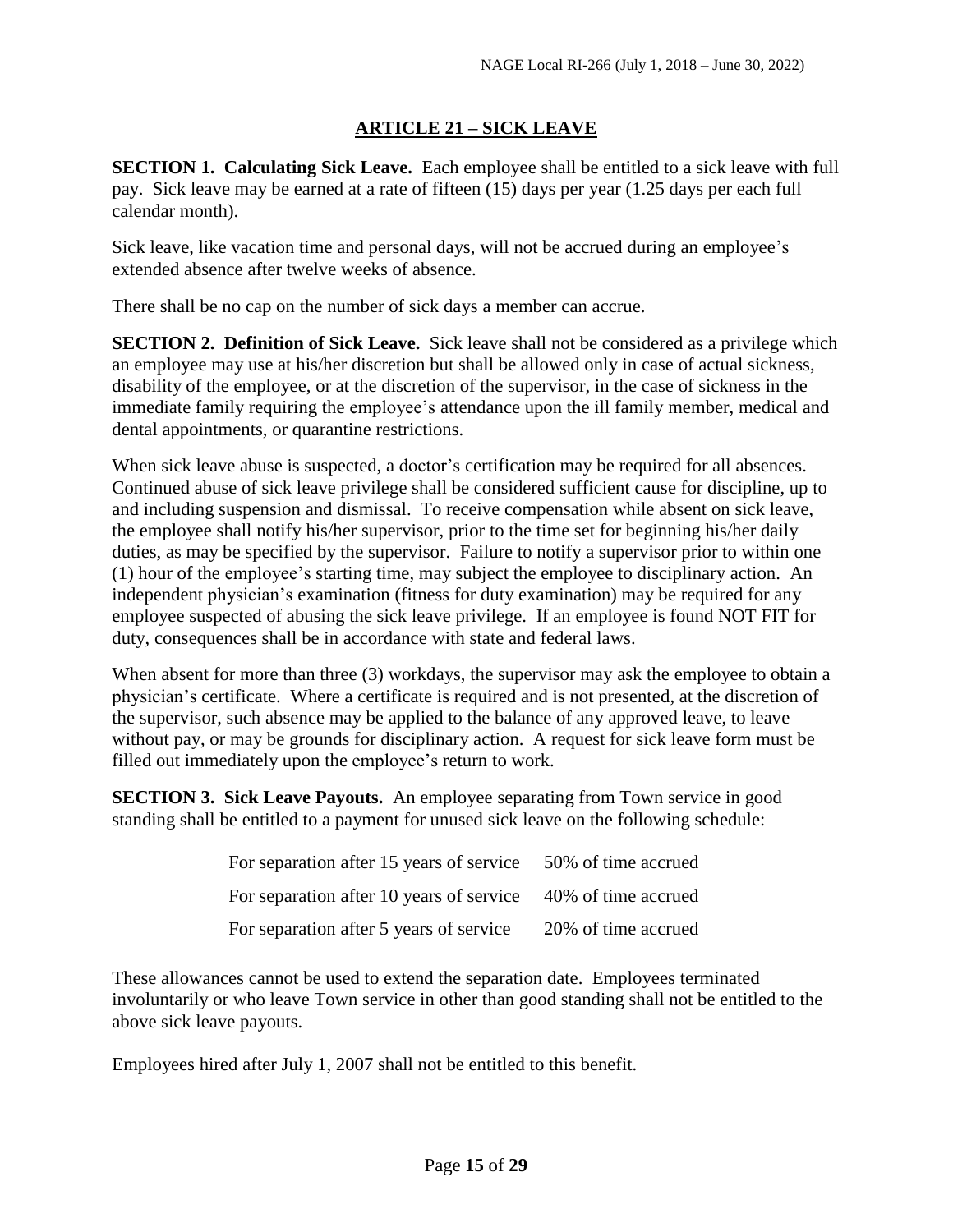# **ARTICLE 21 – SICK LEAVE**

<span id="page-14-1"></span><span id="page-14-0"></span>**SECTION 1. Calculating Sick Leave.** Each employee shall be entitled to a sick leave with full pay. Sick leave may be earned at a rate of fifteen (15) days per year (1.25 days per each full calendar month).

Sick leave, like vacation time and personal days, will not be accrued during an employee's extended absence after twelve weeks of absence.

There shall be no cap on the number of sick days a member can accrue.

<span id="page-14-2"></span>**SECTION 2. Definition of Sick Leave.** Sick leave shall not be considered as a privilege which an employee may use at his/her discretion but shall be allowed only in case of actual sickness, disability of the employee, or at the discretion of the supervisor, in the case of sickness in the immediate family requiring the employee's attendance upon the ill family member, medical and dental appointments, or quarantine restrictions.

When sick leave abuse is suspected, a doctor's certification may be required for all absences. Continued abuse of sick leave privilege shall be considered sufficient cause for discipline, up to and including suspension and dismissal. To receive compensation while absent on sick leave, the employee shall notify his/her supervisor, prior to the time set for beginning his/her daily duties, as may be specified by the supervisor. Failure to notify a supervisor prior to within one (1) hour of the employee's starting time, may subject the employee to disciplinary action. An independent physician's examination (fitness for duty examination) may be required for any employee suspected of abusing the sick leave privilege. If an employee is found NOT FIT for duty, consequences shall be in accordance with state and federal laws.

When absent for more than three (3) workdays, the supervisor may ask the employee to obtain a physician's certificate. Where a certificate is required and is not presented, at the discretion of the supervisor, such absence may be applied to the balance of any approved leave, to leave without pay, or may be grounds for disciplinary action. A request for sick leave form must be filled out immediately upon the employee's return to work.

<span id="page-14-3"></span>**SECTION 3. Sick Leave Payouts.** An employee separating from Town service in good standing shall be entitled to a payment for unused sick leave on the following schedule:

| For separation after 15 years of service | 50% of time accrued |
|------------------------------------------|---------------------|
| For separation after 10 years of service | 40% of time accrued |
| For separation after 5 years of service  | 20% of time accrued |

These allowances cannot be used to extend the separation date. Employees terminated involuntarily or who leave Town service in other than good standing shall not be entitled to the above sick leave payouts.

Employees hired after July 1, 2007 shall not be entitled to this benefit.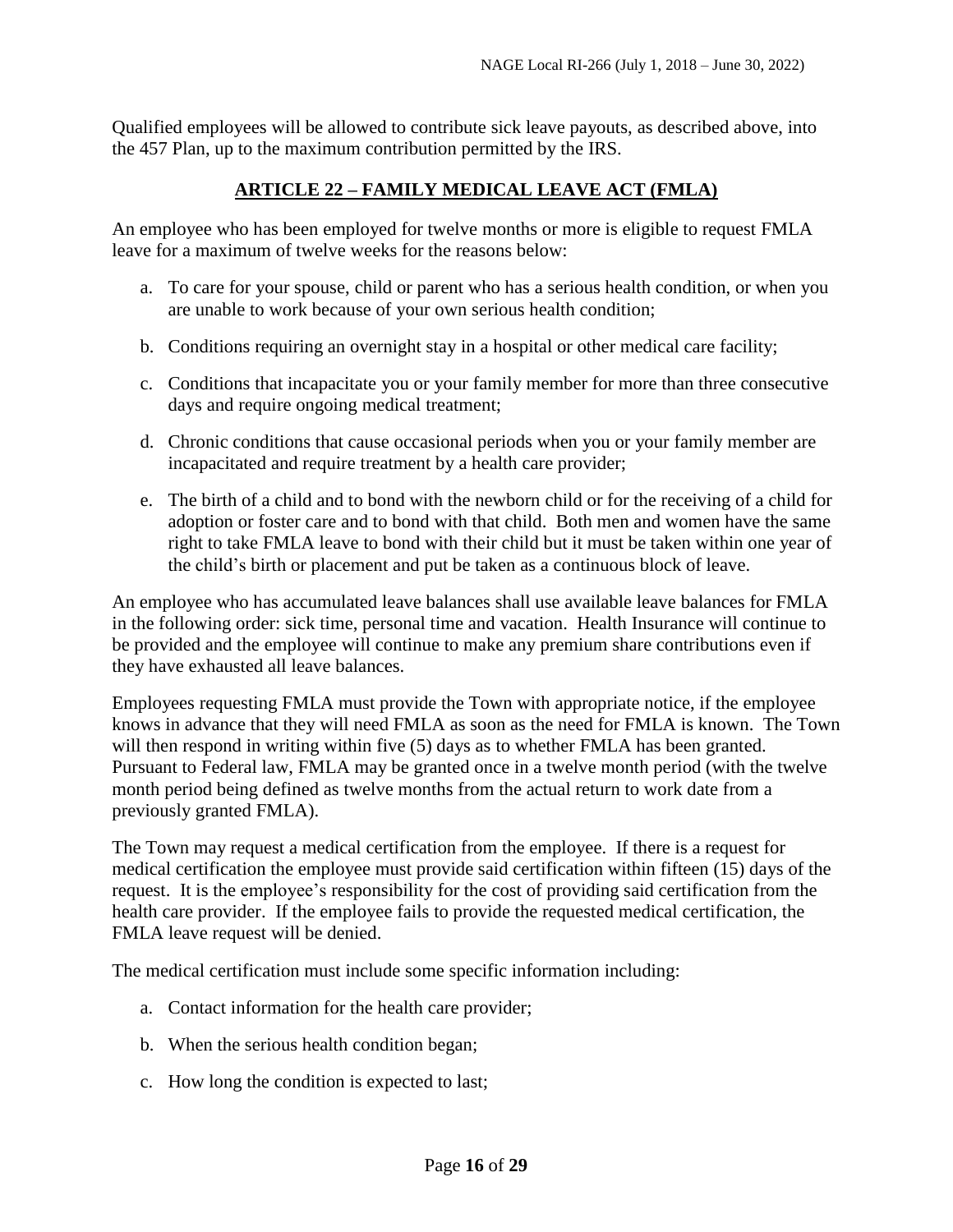<span id="page-15-0"></span>Qualified employees will be allowed to contribute sick leave payouts, as described above, into the 457 Plan, up to the maximum contribution permitted by the IRS.

#### **ARTICLE 22 – FAMILY MEDICAL LEAVE ACT (FMLA)**

An employee who has been employed for twelve months or more is eligible to request FMLA leave for a maximum of twelve weeks for the reasons below:

- a. To care for your spouse, child or parent who has a serious health condition, or when you are unable to work because of your own serious health condition;
- b. Conditions requiring an overnight stay in a hospital or other medical care facility;
- c. Conditions that incapacitate you or your family member for more than three consecutive days and require ongoing medical treatment;
- d. Chronic conditions that cause occasional periods when you or your family member are incapacitated and require treatment by a health care provider;
- e. The birth of a child and to bond with the newborn child or for the receiving of a child for adoption or foster care and to bond with that child. Both men and women have the same right to take FMLA leave to bond with their child but it must be taken within one year of the child's birth or placement and put be taken as a continuous block of leave.

An employee who has accumulated leave balances shall use available leave balances for FMLA in the following order: sick time, personal time and vacation. Health Insurance will continue to be provided and the employee will continue to make any premium share contributions even if they have exhausted all leave balances.

Employees requesting FMLA must provide the Town with appropriate notice, if the employee knows in advance that they will need FMLA as soon as the need for FMLA is known. The Town will then respond in writing within five (5) days as to whether FMLA has been granted. Pursuant to Federal law, FMLA may be granted once in a twelve month period (with the twelve month period being defined as twelve months from the actual return to work date from a previously granted FMLA).

The Town may request a medical certification from the employee. If there is a request for medical certification the employee must provide said certification within fifteen (15) days of the request. It is the employee's responsibility for the cost of providing said certification from the health care provider. If the employee fails to provide the requested medical certification, the FMLA leave request will be denied.

The medical certification must include some specific information including:

- a. Contact information for the health care provider;
- b. When the serious health condition began;
- c. How long the condition is expected to last;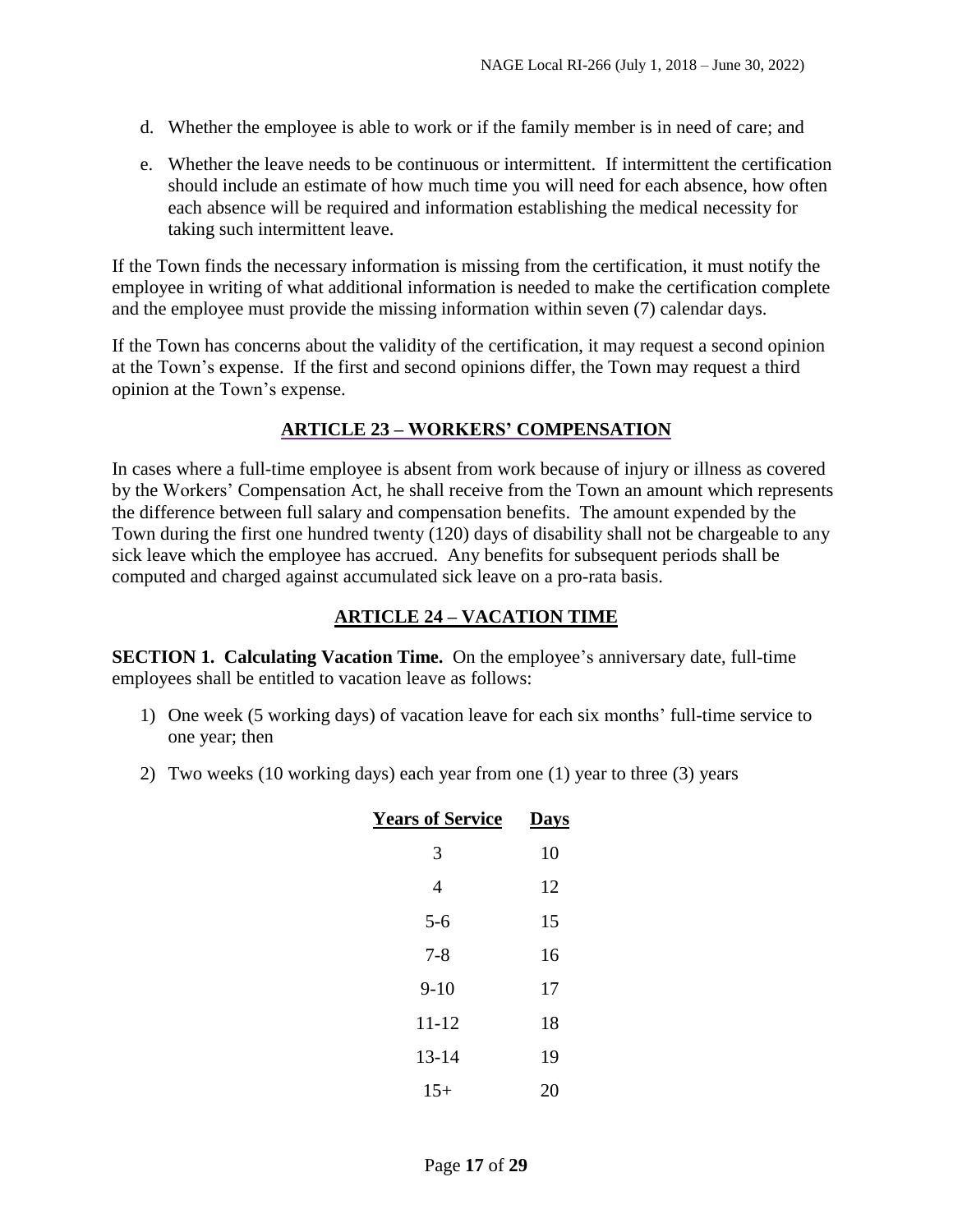- d. Whether the employee is able to work or if the family member is in need of care; and
- e. Whether the leave needs to be continuous or intermittent. If intermittent the certification should include an estimate of how much time you will need for each absence, how often each absence will be required and information establishing the medical necessity for taking such intermittent leave.

If the Town finds the necessary information is missing from the certification, it must notify the employee in writing of what additional information is needed to make the certification complete and the employee must provide the missing information within seven (7) calendar days.

If the Town has concerns about the validity of the certification, it may request a second opinion at the Town's expense. If the first and second opinions differ, the Town may request a third opinion at the Town's expense.

#### **ARTICLE 23 – WORKERS' COMPENSATION**

<span id="page-16-0"></span>In cases where a full-time employee is absent from work because of injury or illness as covered by the Workers' Compensation Act, he shall receive from the Town an amount which represents the difference between full salary and compensation benefits. The amount expended by the Town during the first one hundred twenty (120) days of disability shall not be chargeable to any sick leave which the employee has accrued. Any benefits for subsequent periods shall be computed and charged against accumulated sick leave on a pro-rata basis.

#### **ARTICLE 24 – VACATION TIME**

<span id="page-16-2"></span><span id="page-16-1"></span>**SECTION 1. Calculating Vacation Time.** On the employee's anniversary date, full-time employees shall be entitled to vacation leave as follows:

- 1) One week (5 working days) of vacation leave for each six months' full-time service to one year; then
- 2) Two weeks (10 working days) each year from one (1) year to three (3) years

| <b>Years of Service</b> | <b>Days</b> |
|-------------------------|-------------|
| 3                       | 10          |
| 4                       | 12          |
| $5 - 6$                 | 15          |
| $7 - 8$                 | 16          |
| $9 - 10$                | 17          |
| $11 - 12$               | 18          |
| $13 - 14$               | 19          |
| $15+$                   | 20          |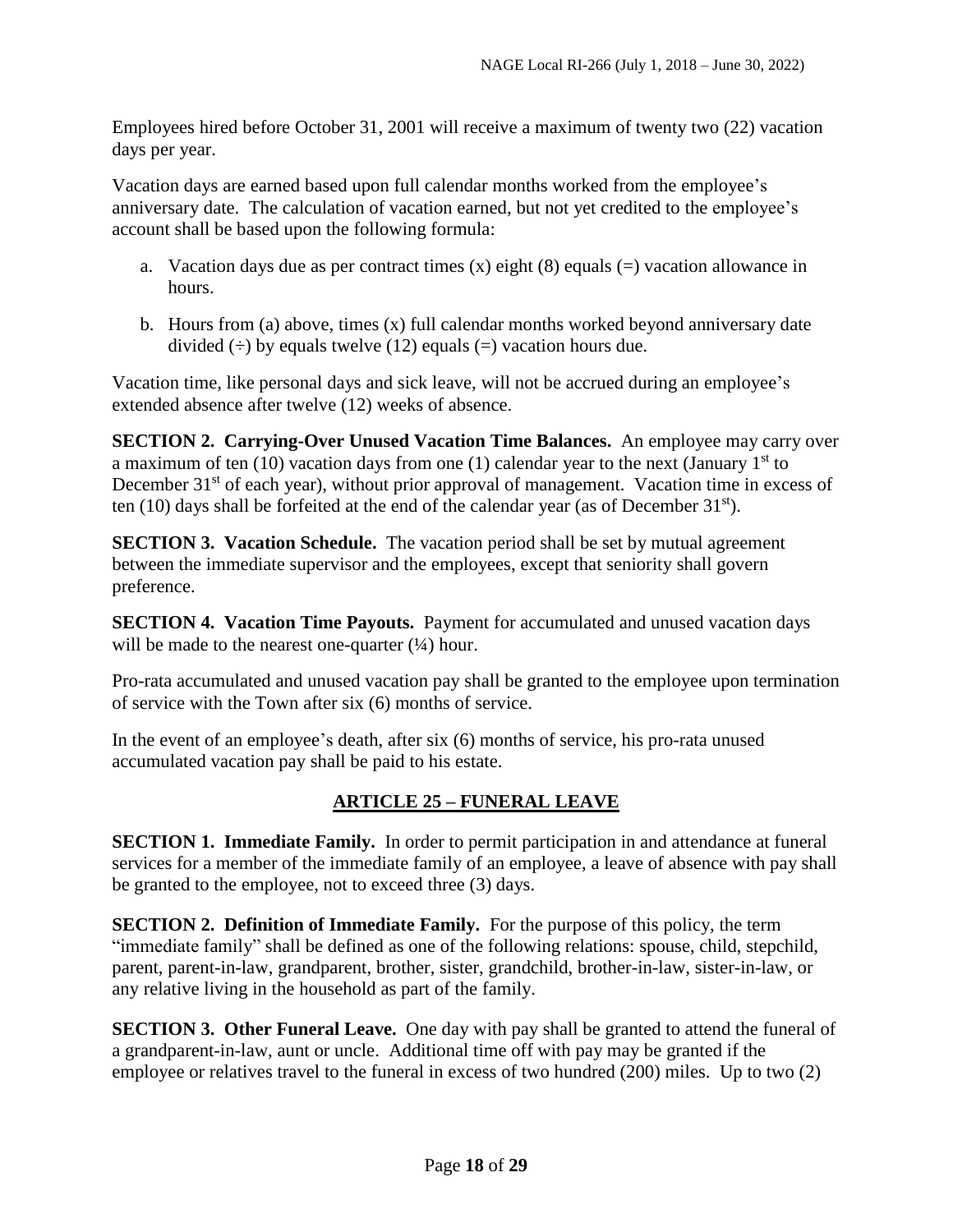Employees hired before October 31, 2001 will receive a maximum of twenty two (22) vacation days per year.

Vacation days are earned based upon full calendar months worked from the employee's anniversary date. The calculation of vacation earned, but not yet credited to the employee's account shall be based upon the following formula:

- a. Vacation days due as per contract times  $(x)$  eight  $(8)$  equals  $(=)$  vacation allowance in hours.
- b. Hours from (a) above, times (x) full calendar months worked beyond anniversary date divided  $\div$ ) by equals twelve (12) equals (=) vacation hours due.

Vacation time, like personal days and sick leave, will not be accrued during an employee's extended absence after twelve (12) weeks of absence.

<span id="page-17-0"></span>**SECTION 2. Carrying-Over Unused Vacation Time Balances.** An employee may carry over a maximum of ten  $(10)$  vacation days from one  $(1)$  calendar year to the next (January 1<sup>st</sup> to December 31<sup>st</sup> of each year), without prior approval of management. Vacation time in excess of ten (10) days shall be forfeited at the end of the calendar year (as of December  $31<sup>st</sup>$ ).

<span id="page-17-1"></span>**SECTION 3. Vacation Schedule.** The vacation period shall be set by mutual agreement between the immediate supervisor and the employees, except that seniority shall govern preference.

<span id="page-17-2"></span>**SECTION 4. Vacation Time Payouts.** Payment for accumulated and unused vacation days will be made to the nearest one-quarter  $(½)$  hour.

Pro-rata accumulated and unused vacation pay shall be granted to the employee upon termination of service with the Town after six (6) months of service.

In the event of an employee's death, after six (6) months of service, his pro-rata unused accumulated vacation pay shall be paid to his estate.

# **ARTICLE 25 – FUNERAL LEAVE**

<span id="page-17-4"></span><span id="page-17-3"></span>**SECTION 1. Immediate Family.** In order to permit participation in and attendance at funeral services for a member of the immediate family of an employee, a leave of absence with pay shall be granted to the employee, not to exceed three (3) days.

<span id="page-17-5"></span>**SECTION 2. Definition of Immediate Family.** For the purpose of this policy, the term "immediate family" shall be defined as one of the following relations: spouse, child, stepchild, parent, parent-in-law, grandparent, brother, sister, grandchild, brother-in-law, sister-in-law, or any relative living in the household as part of the family.

<span id="page-17-6"></span>**SECTION 3. Other Funeral Leave.** One day with pay shall be granted to attend the funeral of a grandparent-in-law, aunt or uncle. Additional time off with pay may be granted if the employee or relatives travel to the funeral in excess of two hundred (200) miles. Up to two (2)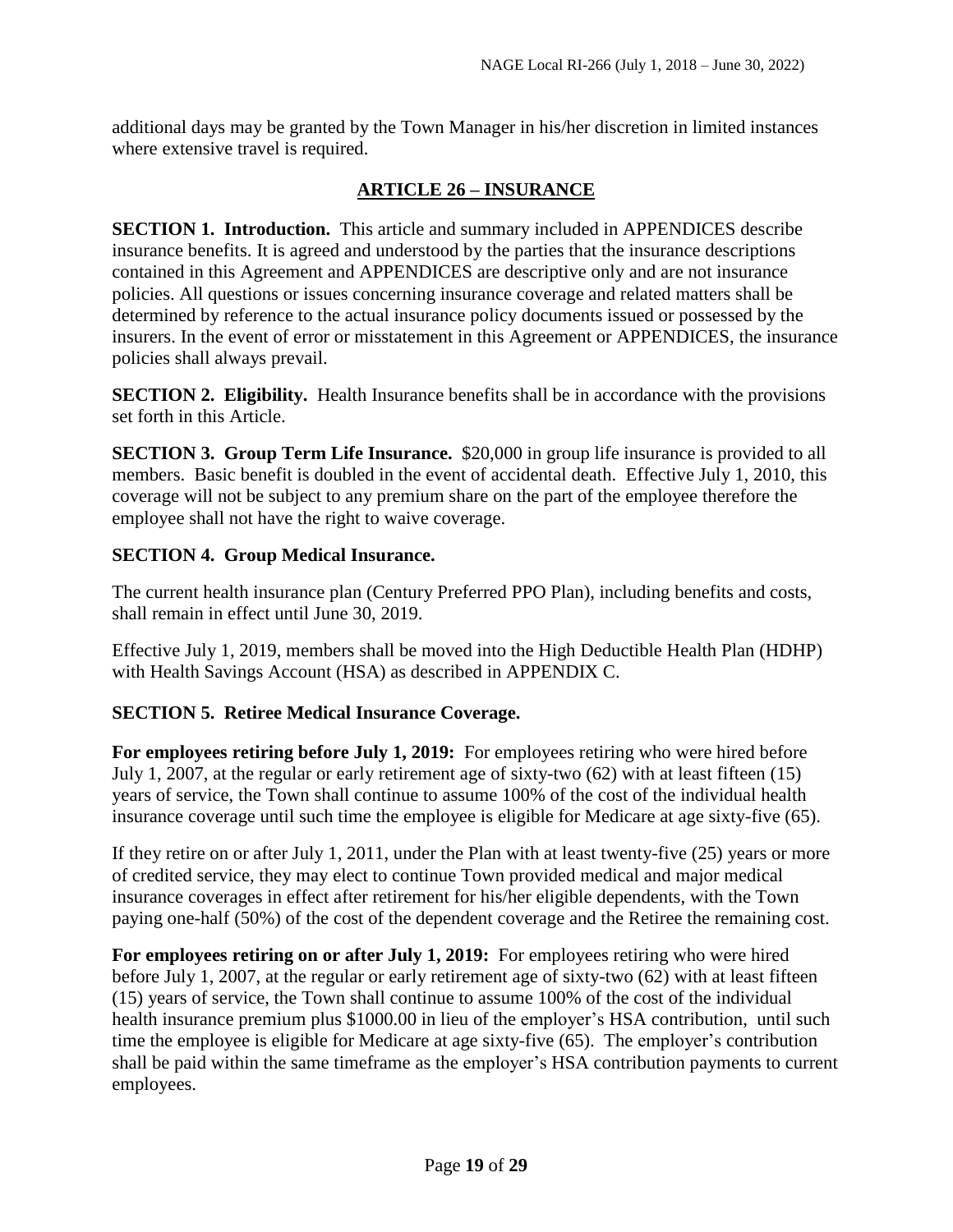<span id="page-18-0"></span>additional days may be granted by the Town Manager in his/her discretion in limited instances where extensive travel is required.

#### **ARTICLE 26 – INSURANCE**

<span id="page-18-1"></span>**SECTION 1. Introduction.** This article and summary included in APPENDICES describe insurance benefits. It is agreed and understood by the parties that the insurance descriptions contained in this Agreement and APPENDICES are descriptive only and are not insurance policies. All questions or issues concerning insurance coverage and related matters shall be determined by reference to the actual insurance policy documents issued or possessed by the insurers. In the event of error or misstatement in this Agreement or APPENDICES, the insurance policies shall always prevail.

<span id="page-18-2"></span>**SECTION 2. Eligibility.** Health Insurance benefits shall be in accordance with the provisions set forth in this Article.

<span id="page-18-3"></span>**SECTION 3. Group Term Life Insurance.** \$20,000 in group life insurance is provided to all members. Basic benefit is doubled in the event of accidental death. Effective July 1, 2010, this coverage will not be subject to any premium share on the part of the employee therefore the employee shall not have the right to waive coverage.

#### <span id="page-18-4"></span>**SECTION 4. Group Medical Insurance.**

The current health insurance plan (Century Preferred PPO Plan), including benefits and costs, shall remain in effect until June 30, 2019.

Effective July 1, 2019, members shall be moved into the High Deductible Health Plan (HDHP) with Health Savings Account (HSA) as described in APPENDIX C.

#### <span id="page-18-5"></span>**SECTION 5. Retiree Medical Insurance Coverage.**

**For employees retiring before July 1, 2019:** For employees retiring who were hired before July 1, 2007, at the regular or early retirement age of sixty-two (62) with at least fifteen (15) years of service, the Town shall continue to assume 100% of the cost of the individual health insurance coverage until such time the employee is eligible for Medicare at age sixty-five (65).

If they retire on or after July 1, 2011, under the Plan with at least twenty-five (25) years or more of credited service, they may elect to continue Town provided medical and major medical insurance coverages in effect after retirement for his/her eligible dependents, with the Town paying one-half (50%) of the cost of the dependent coverage and the Retiree the remaining cost.

**For employees retiring on or after July 1, 2019:** For employees retiring who were hired before July 1, 2007, at the regular or early retirement age of sixty-two (62) with at least fifteen (15) years of service, the Town shall continue to assume 100% of the cost of the individual health insurance premium plus \$1000.00 in lieu of the employer's HSA contribution, until such time the employee is eligible for Medicare at age sixty-five (65). The employer's contribution shall be paid within the same timeframe as the employer's HSA contribution payments to current employees.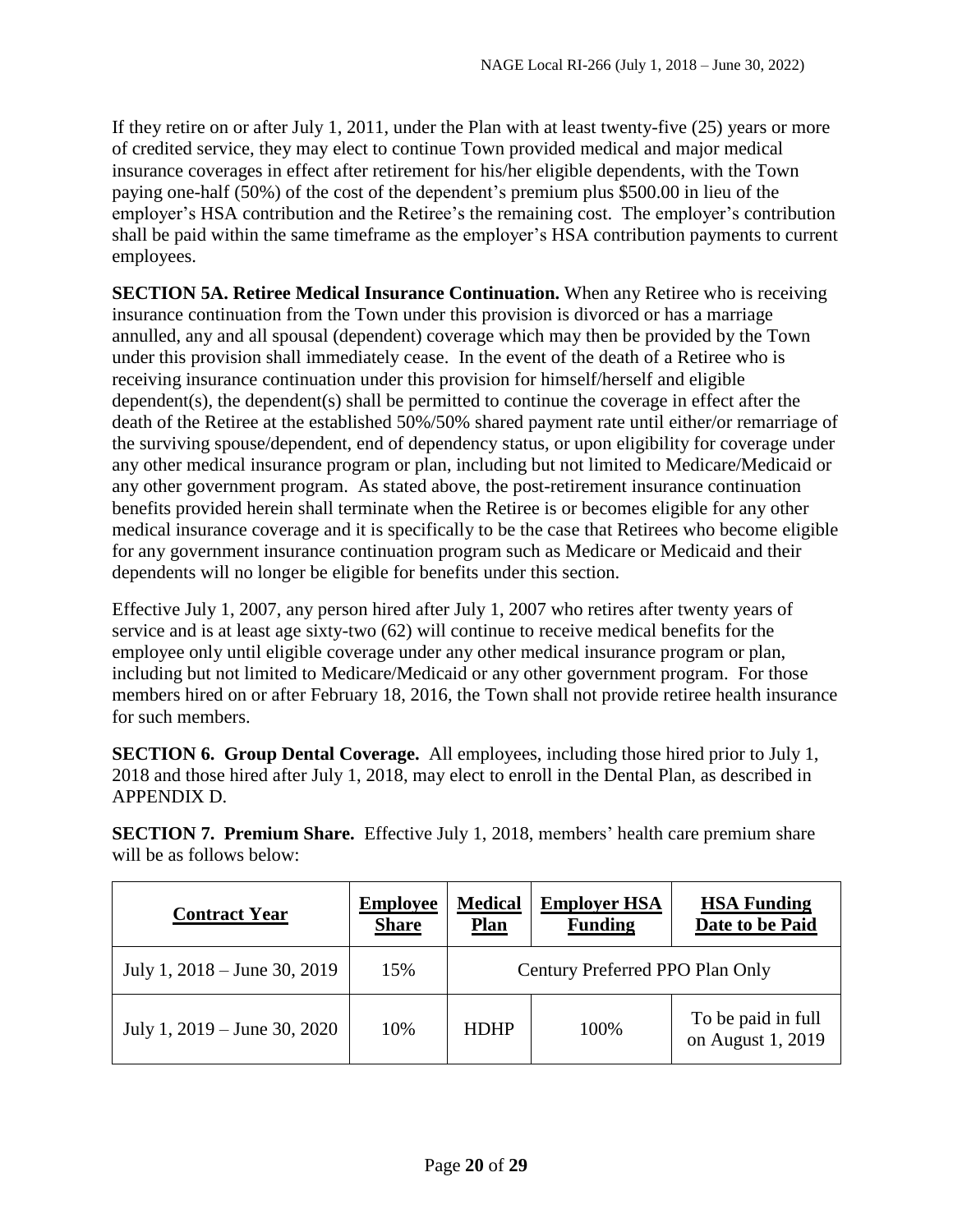If they retire on or after July 1, 2011, under the Plan with at least twenty-five (25) years or more of credited service, they may elect to continue Town provided medical and major medical insurance coverages in effect after retirement for his/her eligible dependents, with the Town paying one-half (50%) of the cost of the dependent's premium plus \$500.00 in lieu of the employer's HSA contribution and the Retiree's the remaining cost. The employer's contribution shall be paid within the same timeframe as the employer's HSA contribution payments to current employees.

<span id="page-19-0"></span>**SECTION 5A. Retiree Medical Insurance Continuation.** When any Retiree who is receiving insurance continuation from the Town under this provision is divorced or has a marriage annulled, any and all spousal (dependent) coverage which may then be provided by the Town under this provision shall immediately cease. In the event of the death of a Retiree who is receiving insurance continuation under this provision for himself/herself and eligible dependent(s), the dependent(s) shall be permitted to continue the coverage in effect after the death of the Retiree at the established 50%/50% shared payment rate until either/or remarriage of the surviving spouse/dependent, end of dependency status, or upon eligibility for coverage under any other medical insurance program or plan, including but not limited to Medicare/Medicaid or any other government program. As stated above, the post-retirement insurance continuation benefits provided herein shall terminate when the Retiree is or becomes eligible for any other medical insurance coverage and it is specifically to be the case that Retirees who become eligible for any government insurance continuation program such as Medicare or Medicaid and their dependents will no longer be eligible for benefits under this section.

Effective July 1, 2007, any person hired after July 1, 2007 who retires after twenty years of service and is at least age sixty-two (62) will continue to receive medical benefits for the employee only until eligible coverage under any other medical insurance program or plan, including but not limited to Medicare/Medicaid or any other government program. For those members hired on or after February 18, 2016, the Town shall not provide retiree health insurance for such members.

<span id="page-19-1"></span>**SECTION 6. Group Dental Coverage.** All employees, including those hired prior to July 1, 2018 and those hired after July 1, 2018, may elect to enroll in the Dental Plan, as described in APPENDIX D.

<span id="page-19-2"></span>**SECTION 7. Premium Share.** Effective July 1, 2018, members' health care premium share will be as follows below:

| <b>Contract Year</b>             | <b>Employee</b><br><b>Share</b> | <b>Medical</b><br><b>Plan</b>   | <b>Employer HSA</b><br><b>Funding</b> | <b>HSA Funding</b><br>Date to be Paid   |  |  |
|----------------------------------|---------------------------------|---------------------------------|---------------------------------------|-----------------------------------------|--|--|
| July 1, $2018 -$ June 30, $2019$ | 15%                             | Century Preferred PPO Plan Only |                                       |                                         |  |  |
| July 1, $2019 -$ June 30, $2020$ | 10%                             | <b>HDHP</b>                     | 100%                                  | To be paid in full<br>on August 1, 2019 |  |  |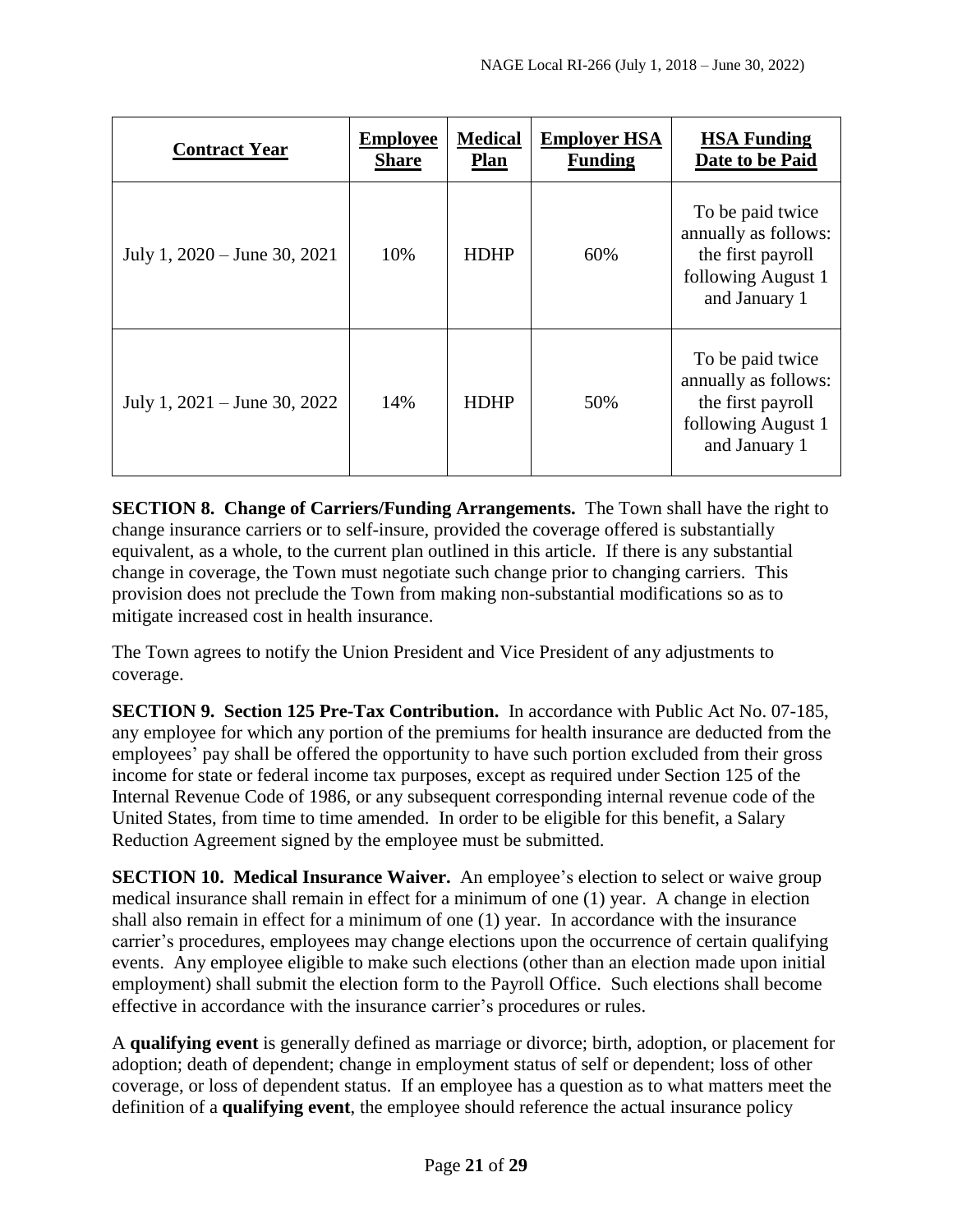| <b>Contract Year</b>             | <b>Employee</b><br><b>Share</b> | <b>Medical</b><br><b>Plan</b> | <b>Employer HSA</b><br><b>Funding</b> | <b>HSA Funding</b><br>Date to be Paid                                                                |
|----------------------------------|---------------------------------|-------------------------------|---------------------------------------|------------------------------------------------------------------------------------------------------|
| July 1, $2020 -$ June 30, 2021   | 10%                             | <b>HDHP</b>                   | 60%                                   | To be paid twice<br>annually as follows:<br>the first payroll<br>following August 1<br>and January 1 |
| July 1, $2021 -$ June 30, $2022$ | 14%                             | <b>HDHP</b>                   | 50%                                   | To be paid twice<br>annually as follows:<br>the first payroll<br>following August 1<br>and January 1 |

<span id="page-20-0"></span>**SECTION 8. Change of Carriers/Funding Arrangements.** The Town shall have the right to change insurance carriers or to self-insure, provided the coverage offered is substantially equivalent, as a whole, to the current plan outlined in this article. If there is any substantial change in coverage, the Town must negotiate such change prior to changing carriers. This provision does not preclude the Town from making non-substantial modifications so as to mitigate increased cost in health insurance.

The Town agrees to notify the Union President and Vice President of any adjustments to coverage.

<span id="page-20-1"></span>**SECTION 9. Section 125 Pre-Tax Contribution.** In accordance with Public Act No. 07-185, any employee for which any portion of the premiums for health insurance are deducted from the employees' pay shall be offered the opportunity to have such portion excluded from their gross income for state or federal income tax purposes, except as required under Section 125 of the Internal Revenue Code of 1986, or any subsequent corresponding internal revenue code of the United States, from time to time amended. In order to be eligible for this benefit, a Salary Reduction Agreement signed by the employee must be submitted.

<span id="page-20-2"></span>**SECTION 10. Medical Insurance Waiver.** An employee's election to select or waive group medical insurance shall remain in effect for a minimum of one (1) year. A change in election shall also remain in effect for a minimum of one (1) year. In accordance with the insurance carrier's procedures, employees may change elections upon the occurrence of certain qualifying events. Any employee eligible to make such elections (other than an election made upon initial employment) shall submit the election form to the Payroll Office. Such elections shall become effective in accordance with the insurance carrier's procedures or rules.

A **qualifying event** is generally defined as marriage or divorce; birth, adoption, or placement for adoption; death of dependent; change in employment status of self or dependent; loss of other coverage, or loss of dependent status. If an employee has a question as to what matters meet the definition of a **qualifying event**, the employee should reference the actual insurance policy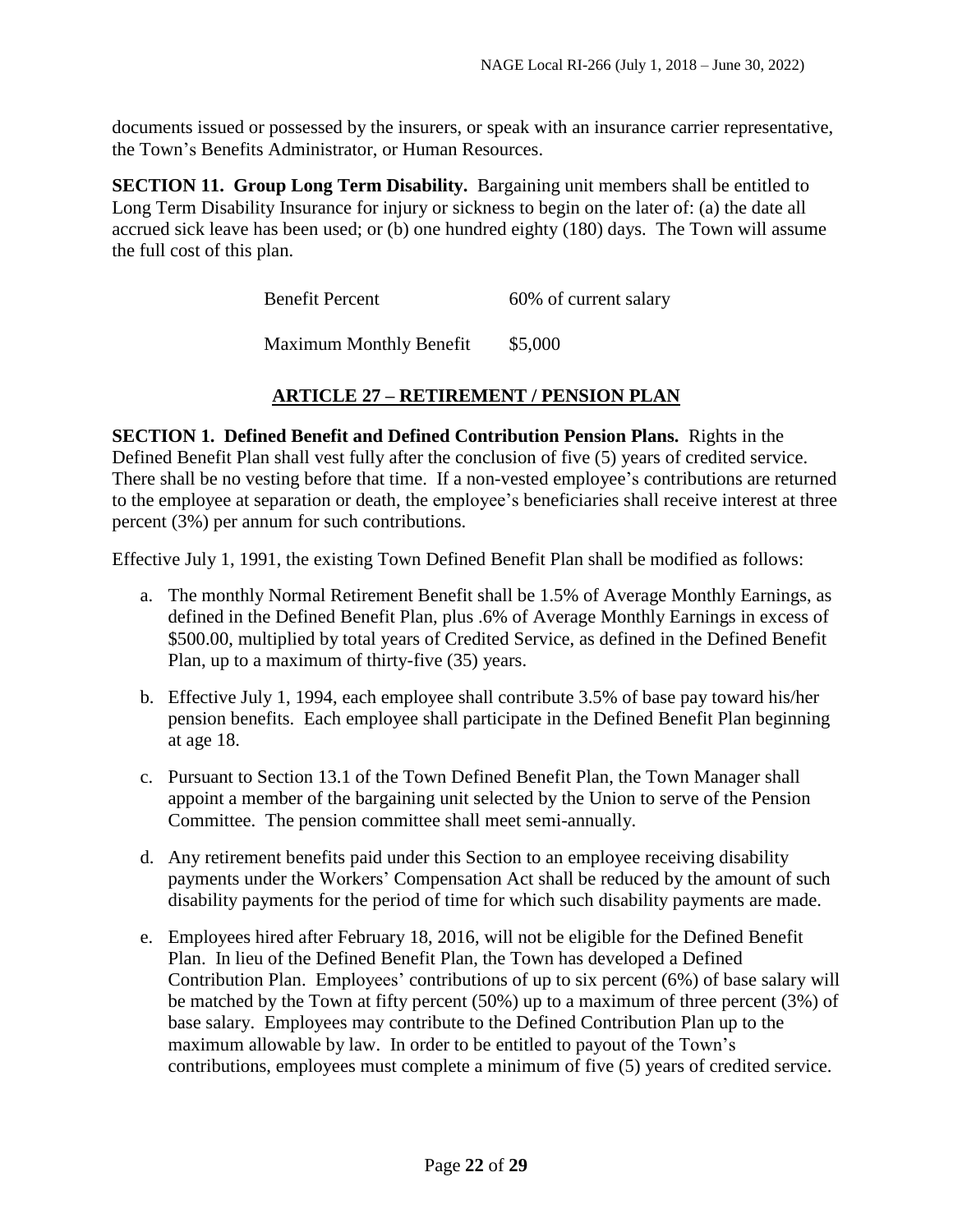documents issued or possessed by the insurers, or speak with an insurance carrier representative, the Town's Benefits Administrator, or Human Resources.

<span id="page-21-0"></span>**SECTION 11. Group Long Term Disability.** Bargaining unit members shall be entitled to Long Term Disability Insurance for injury or sickness to begin on the later of: (a) the date all accrued sick leave has been used; or (b) one hundred eighty (180) days. The Town will assume the full cost of this plan.

Benefit Percent 60% of current salary

Maximum Monthly Benefit \$5,000

#### **ARTICLE 27 – RETIREMENT / PENSION PLAN**

<span id="page-21-2"></span><span id="page-21-1"></span>**SECTION 1. Defined Benefit and Defined Contribution Pension Plans.** Rights in the Defined Benefit Plan shall vest fully after the conclusion of five (5) years of credited service. There shall be no vesting before that time. If a non-vested employee's contributions are returned to the employee at separation or death, the employee's beneficiaries shall receive interest at three percent (3%) per annum for such contributions.

Effective July 1, 1991, the existing Town Defined Benefit Plan shall be modified as follows:

- a. The monthly Normal Retirement Benefit shall be 1.5% of Average Monthly Earnings, as defined in the Defined Benefit Plan, plus .6% of Average Monthly Earnings in excess of \$500.00, multiplied by total years of Credited Service, as defined in the Defined Benefit Plan, up to a maximum of thirty-five (35) years.
- b. Effective July 1, 1994, each employee shall contribute 3.5% of base pay toward his/her pension benefits. Each employee shall participate in the Defined Benefit Plan beginning at age 18.
- c. Pursuant to Section 13.1 of the Town Defined Benefit Plan, the Town Manager shall appoint a member of the bargaining unit selected by the Union to serve of the Pension Committee. The pension committee shall meet semi-annually.
- d. Any retirement benefits paid under this Section to an employee receiving disability payments under the Workers' Compensation Act shall be reduced by the amount of such disability payments for the period of time for which such disability payments are made.
- e. Employees hired after February 18, 2016, will not be eligible for the Defined Benefit Plan. In lieu of the Defined Benefit Plan, the Town has developed a Defined Contribution Plan. Employees' contributions of up to six percent (6%) of base salary will be matched by the Town at fifty percent (50%) up to a maximum of three percent (3%) of base salary. Employees may contribute to the Defined Contribution Plan up to the maximum allowable by law. In order to be entitled to payout of the Town's contributions, employees must complete a minimum of five (5) years of credited service.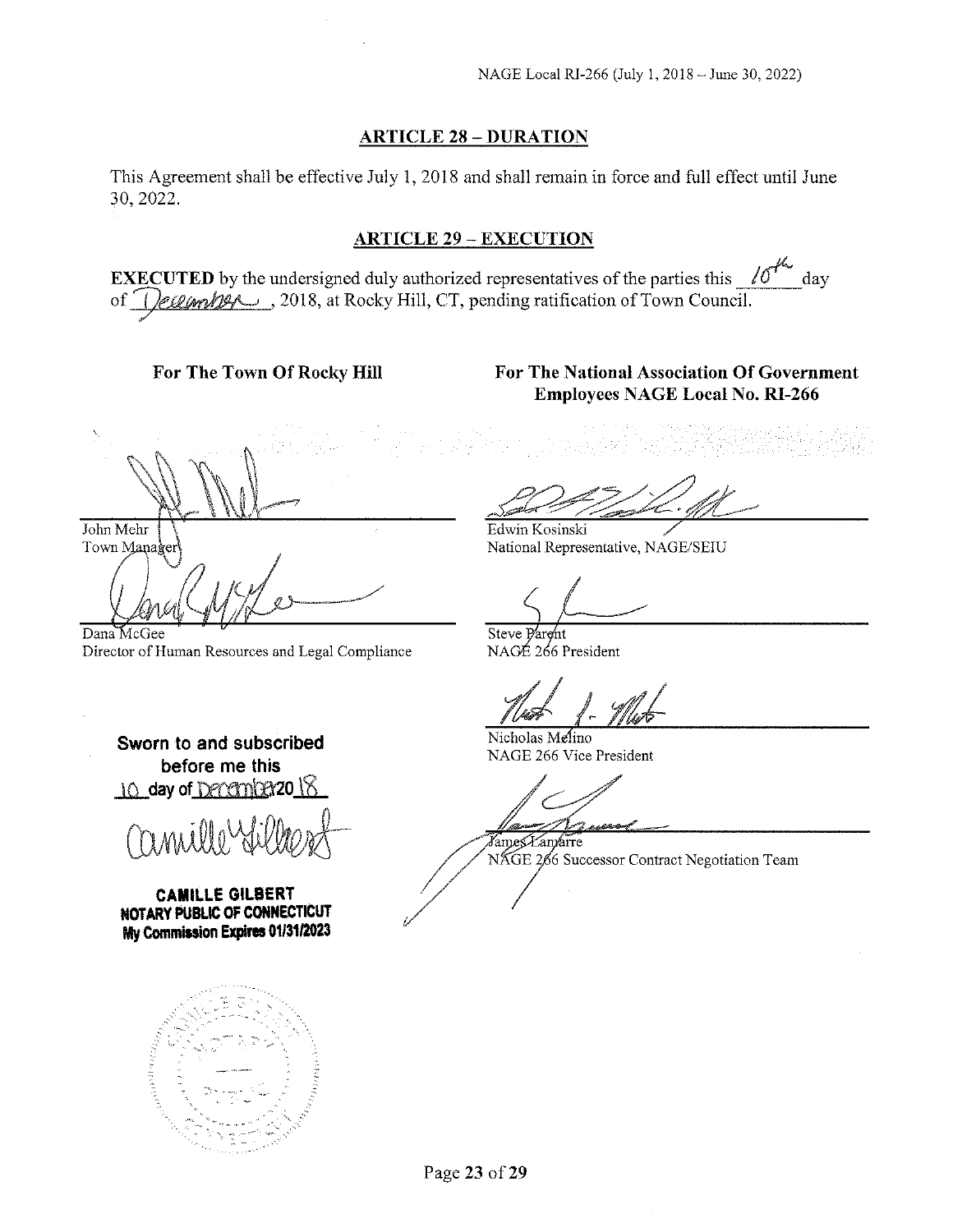#### **ARTICLE 28 - DURATION**

This Agreement shall be effective July 1, 2018 and shall remain in force and full effect until June 30, 2022.

#### **ARTICLE 29 - EXECUTION**

**EXECUTED** by the undersigned duly authorized representatives of the parties this day leclander 3018, at Rocky Hill, CT, pending ratification of Town Council. of

For The Town Of Rocky Hill

#### For The National Association Of Government **Employees NAGE Local No. RI-266**

John Mehr Town Manager

Dana McGee Director of Human Resources and Legal Compliance

Edwin Kosinski National Representative, NAGE/SEIU

Steve Parent NAGÉ 266 President

Nicholas Melino NAGE 266 Vice President

James Kamarre NAGE 266 Successor Contract Negotiation Team

Sworn to and subscribed before me this 10 day of Denember 2018

**CAMILLE GILBERT** NOTARY PUBLIC OF CONNECTICUT My Commission Expires 01/31/2023

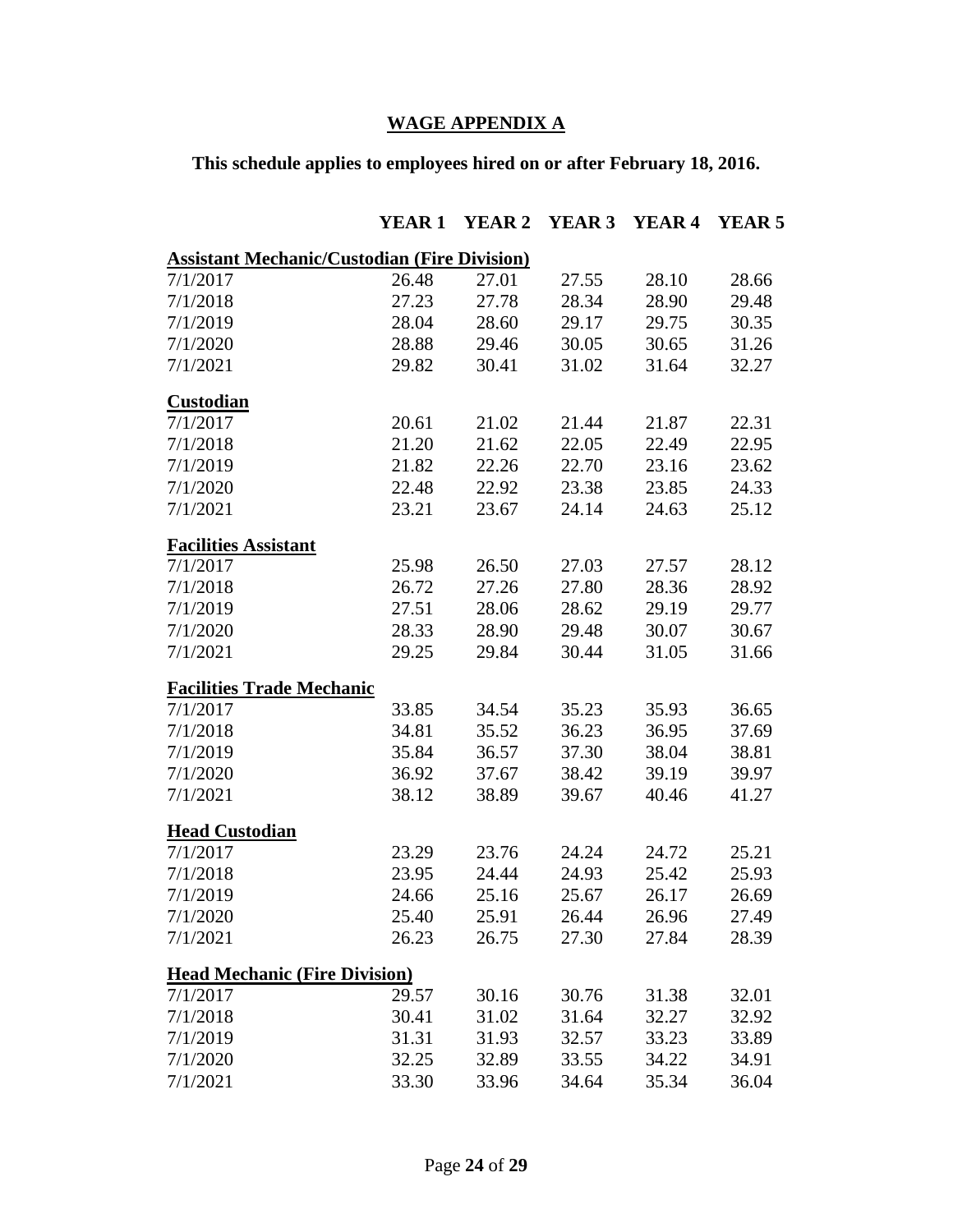# **WAGE APPENDIX A**

<span id="page-23-0"></span>**This schedule applies to employees hired on or after February 18, 2016.**

<span id="page-23-1"></span>

|                                                     | YEAR 1 | <b>YEAR 2</b> |       | YEAR 3 YEAR 4 YEAR 5 |       |  |  |
|-----------------------------------------------------|--------|---------------|-------|----------------------|-------|--|--|
| <b>Assistant Mechanic/Custodian (Fire Division)</b> |        |               |       |                      |       |  |  |
| 7/1/2017                                            | 26.48  | 27.01         | 27.55 | 28.10                | 28.66 |  |  |
| 7/1/2018                                            | 27.23  | 27.78         | 28.34 | 28.90                | 29.48 |  |  |
| 7/1/2019                                            | 28.04  | 28.60         | 29.17 | 29.75                | 30.35 |  |  |
| 7/1/2020                                            | 28.88  | 29.46         | 30.05 | 30.65                | 31.26 |  |  |
| 7/1/2021                                            | 29.82  | 30.41         | 31.02 | 31.64                | 32.27 |  |  |
| <b>Custodian</b>                                    |        |               |       |                      |       |  |  |
| 7/1/2017                                            | 20.61  | 21.02         | 21.44 | 21.87                | 22.31 |  |  |
| 7/1/2018                                            | 21.20  | 21.62         | 22.05 | 22.49                | 22.95 |  |  |
| 7/1/2019                                            | 21.82  | 22.26         | 22.70 | 23.16                | 23.62 |  |  |
| 7/1/2020                                            | 22.48  | 22.92         | 23.38 | 23.85                | 24.33 |  |  |
| 7/1/2021                                            | 23.21  | 23.67         | 24.14 | 24.63                | 25.12 |  |  |
| <b>Facilities Assistant</b>                         |        |               |       |                      |       |  |  |
| 7/1/2017                                            | 25.98  | 26.50         | 27.03 | 27.57                | 28.12 |  |  |
| 7/1/2018                                            | 26.72  | 27.26         | 27.80 | 28.36                | 28.92 |  |  |
| 7/1/2019                                            | 27.51  | 28.06         | 28.62 | 29.19                | 29.77 |  |  |
| 7/1/2020                                            | 28.33  | 28.90         | 29.48 | 30.07                | 30.67 |  |  |
| 7/1/2021                                            | 29.25  | 29.84         | 30.44 | 31.05                | 31.66 |  |  |
| <b>Facilities Trade Mechanic</b>                    |        |               |       |                      |       |  |  |
| 7/1/2017                                            | 33.85  | 34.54         | 35.23 | 35.93                | 36.65 |  |  |
| 7/1/2018                                            | 34.81  | 35.52         | 36.23 | 36.95                | 37.69 |  |  |
| 7/1/2019                                            | 35.84  | 36.57         | 37.30 | 38.04                | 38.81 |  |  |
| 7/1/2020                                            | 36.92  | 37.67         | 38.42 | 39.19                | 39.97 |  |  |
| 7/1/2021                                            | 38.12  | 38.89         | 39.67 | 40.46                | 41.27 |  |  |
| <b>Head Custodian</b>                               |        |               |       |                      |       |  |  |
| 7/1/2017                                            | 23.29  | 23.76         | 24.24 | 24.72                | 25.21 |  |  |
| 7/1/2018                                            | 23.95  | 24.44         | 24.93 | 25.42                | 25.93 |  |  |
| 7/1/2019                                            | 24.66  | 25.16         | 25.67 | 26.17                | 26.69 |  |  |
| 7/1/2020                                            | 25.40  | 25.91         | 26.44 | 26.96                | 27.49 |  |  |
| 7/1/2021                                            | 26.23  | 26.75         | 27.30 | 27.84                | 28.39 |  |  |
| <b>Head Mechanic (Fire Division)</b>                |        |               |       |                      |       |  |  |
| 7/1/2017                                            | 29.57  | 30.16         | 30.76 | 31.38                | 32.01 |  |  |
| 7/1/2018                                            | 30.41  | 31.02         | 31.64 | 32.27                | 32.92 |  |  |
| 7/1/2019                                            | 31.31  | 31.93         | 32.57 | 33.23                | 33.89 |  |  |
| 7/1/2020                                            | 32.25  | 32.89         | 33.55 | 34.22                | 34.91 |  |  |
| 7/1/2021                                            | 33.30  | 33.96         | 34.64 | 35.34                | 36.04 |  |  |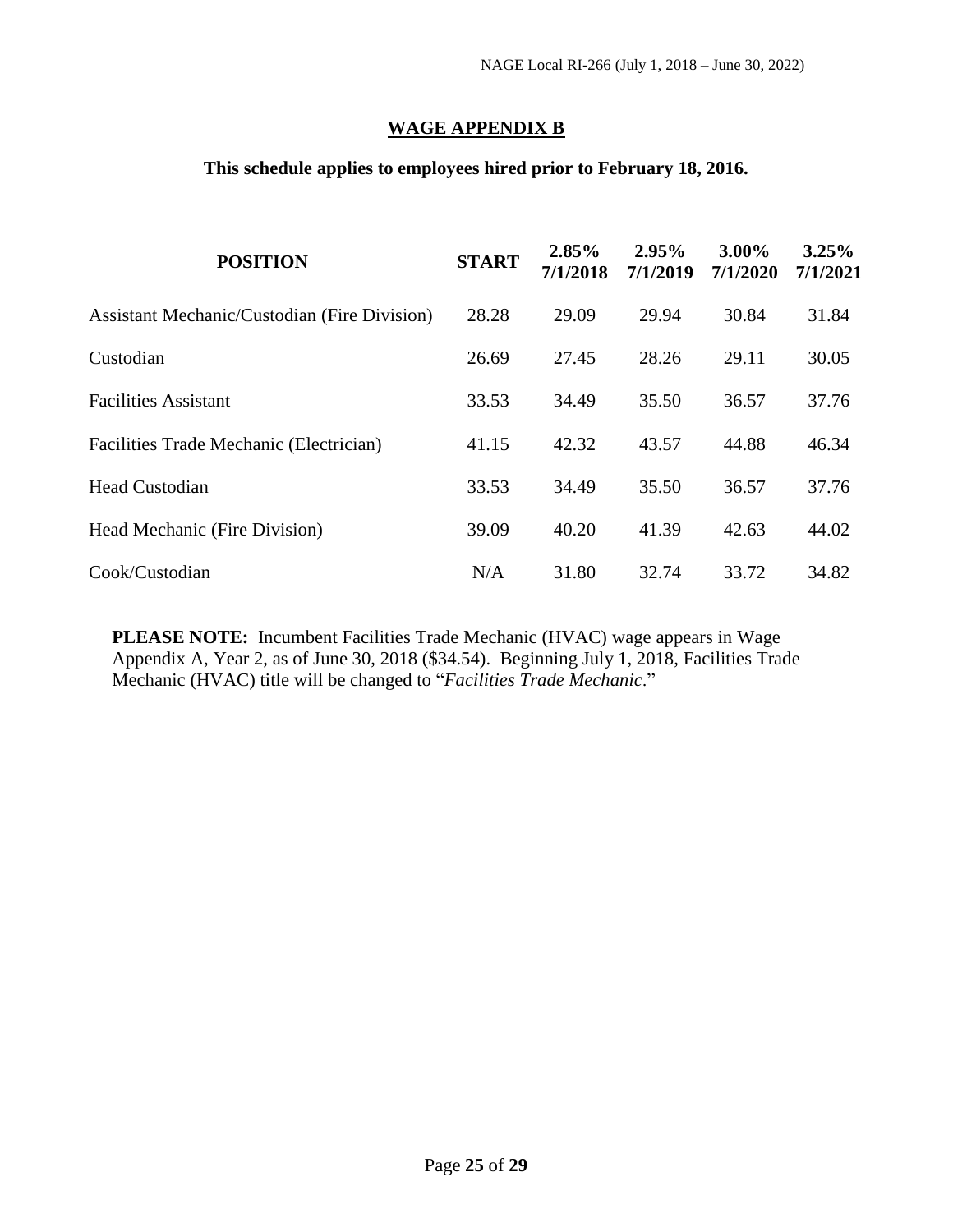#### **WAGE APPENDIX B**

#### <span id="page-24-0"></span>**This schedule applies to employees hired prior to February 18, 2016.**

<span id="page-24-1"></span>

| <b>POSITION</b>                                     | <b>START</b> | 2.85%<br>7/1/2018 | 2.95%<br>7/1/2019 | $3.00\%$<br>7/1/2020 | 3.25%<br>7/1/2021 |
|-----------------------------------------------------|--------------|-------------------|-------------------|----------------------|-------------------|
| <b>Assistant Mechanic/Custodian (Fire Division)</b> | 28.28        | 29.09             | 29.94             | 30.84                | 31.84             |
| Custodian                                           | 26.69        | 27.45             | 28.26             | 29.11                | 30.05             |
| <b>Facilities Assistant</b>                         | 33.53        | 34.49             | 35.50             | 36.57                | 37.76             |
| Facilities Trade Mechanic (Electrician)             | 41.15        | 42.32             | 43.57             | 44.88                | 46.34             |
| <b>Head Custodian</b>                               | 33.53        | 34.49             | 35.50             | 36.57                | 37.76             |
| Head Mechanic (Fire Division)                       | 39.09        | 40.20             | 41.39             | 42.63                | 44.02             |
| Cook/Custodian                                      | N/A          | 31.80             | 32.74             | 33.72                | 34.82             |

**PLEASE NOTE:** Incumbent Facilities Trade Mechanic (HVAC) wage appears in Wage Appendix A, Year 2, as of June 30, 2018 (\$34.54). Beginning July 1, 2018, Facilities Trade Mechanic (HVAC) title will be changed to "*Facilities Trade Mechanic*."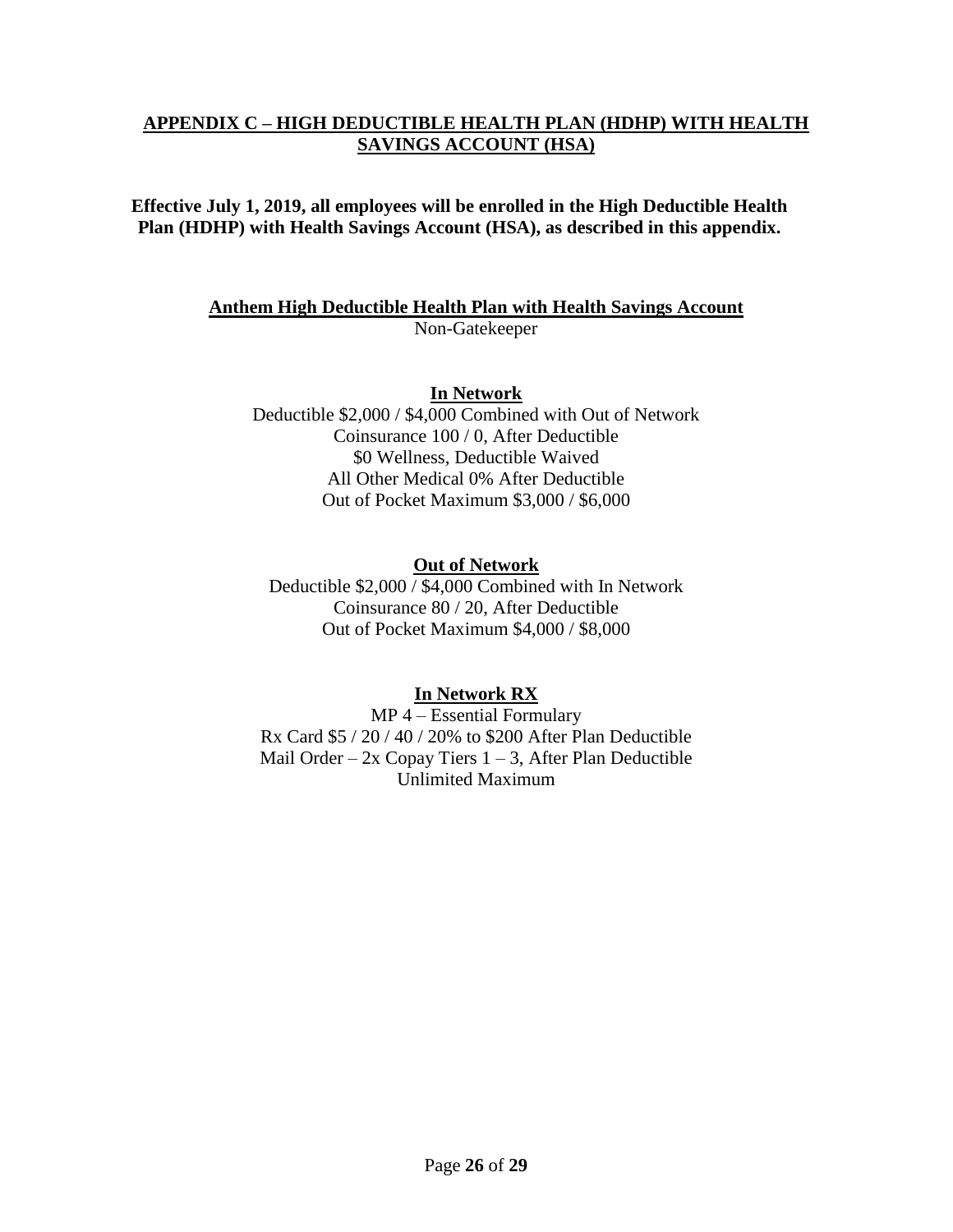#### <span id="page-25-0"></span>**APPENDIX C – HIGH DEDUCTIBLE HEALTH PLAN (HDHP) WITH HEALTH SAVINGS ACCOUNT (HSA)**

**Effective July 1, 2019, all employees will be enrolled in the High Deductible Health Plan (HDHP) with Health Savings Account (HSA), as described in this appendix.**

#### **Anthem High Deductible Health Plan with Health Savings Account** Non-Gatekeeper

#### **In Network**

Deductible \$2,000 / \$4,000 Combined with Out of Network Coinsurance 100 / 0, After Deductible \$0 Wellness, Deductible Waived All Other Medical 0% After Deductible Out of Pocket Maximum \$3,000 / \$6,000

#### **Out of Network**

Deductible \$2,000 / \$4,000 Combined with In Network Coinsurance 80 / 20, After Deductible Out of Pocket Maximum \$4,000 / \$8,000

# **In Network RX**

MP 4 – Essential Formulary Rx Card \$5 / 20 / 40 / 20% to \$200 After Plan Deductible Mail Order –  $2x$  Copay Tiers  $1 - 3$ , After Plan Deductible Unlimited Maximum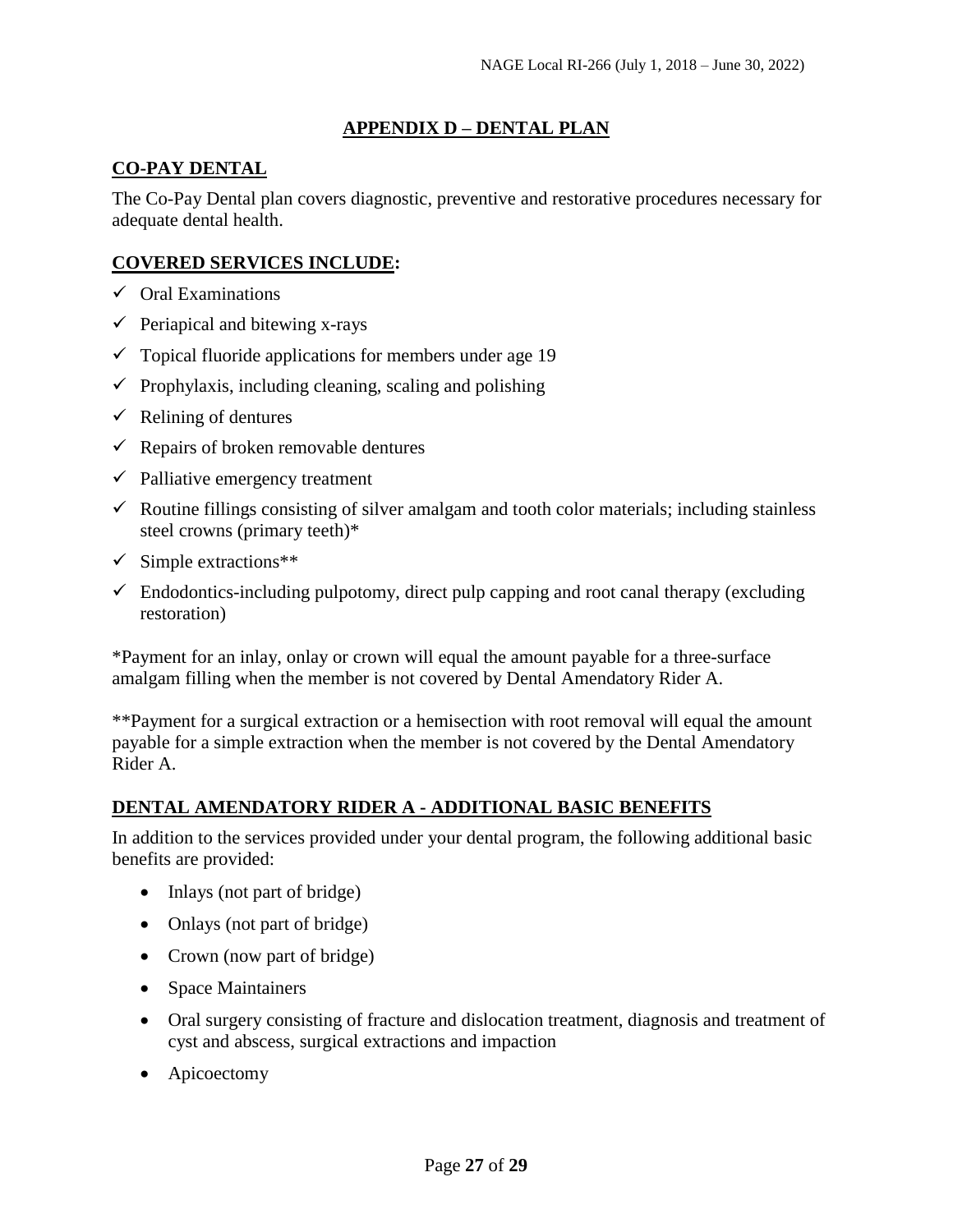# **APPENDIX D – DENTAL PLAN**

#### <span id="page-26-0"></span>**CO-PAY DENTAL**

The Co-Pay Dental plan covers diagnostic, preventive and restorative procedures necessary for adequate dental health.

#### **COVERED SERVICES INCLUDE:**

- $\checkmark$  Oral Examinations
- $\checkmark$  Periapical and bitewing x-rays
- $\checkmark$  Topical fluoride applications for members under age 19
- $\checkmark$  Prophylaxis, including cleaning, scaling and polishing
- $\checkmark$  Relining of dentures
- $\checkmark$  Repairs of broken removable dentures
- $\checkmark$  Palliative emergency treatment
- $\checkmark$  Routine fillings consisting of silver amalgam and tooth color materials; including stainless steel crowns (primary teeth)\*
- $\checkmark$  Simple extractions\*\*
- $\checkmark$  Endodontics-including pulpotomy, direct pulp capping and root canal therapy (excluding restoration)

\*Payment for an inlay, onlay or crown will equal the amount payable for a three-surface amalgam filling when the member is not covered by Dental Amendatory Rider A.

\*\*Payment for a surgical extraction or a hemisection with root removal will equal the amount payable for a simple extraction when the member is not covered by the Dental Amendatory Rider A.

#### **DENTAL AMENDATORY RIDER A - ADDITIONAL BASIC BENEFITS**

In addition to the services provided under your dental program, the following additional basic benefits are provided:

- Inlays (not part of bridge)
- Onlays (not part of bridge)
- Crown (now part of bridge)
- Space Maintainers
- Oral surgery consisting of fracture and dislocation treatment, diagnosis and treatment of cyst and abscess, surgical extractions and impaction
- Apicoectomy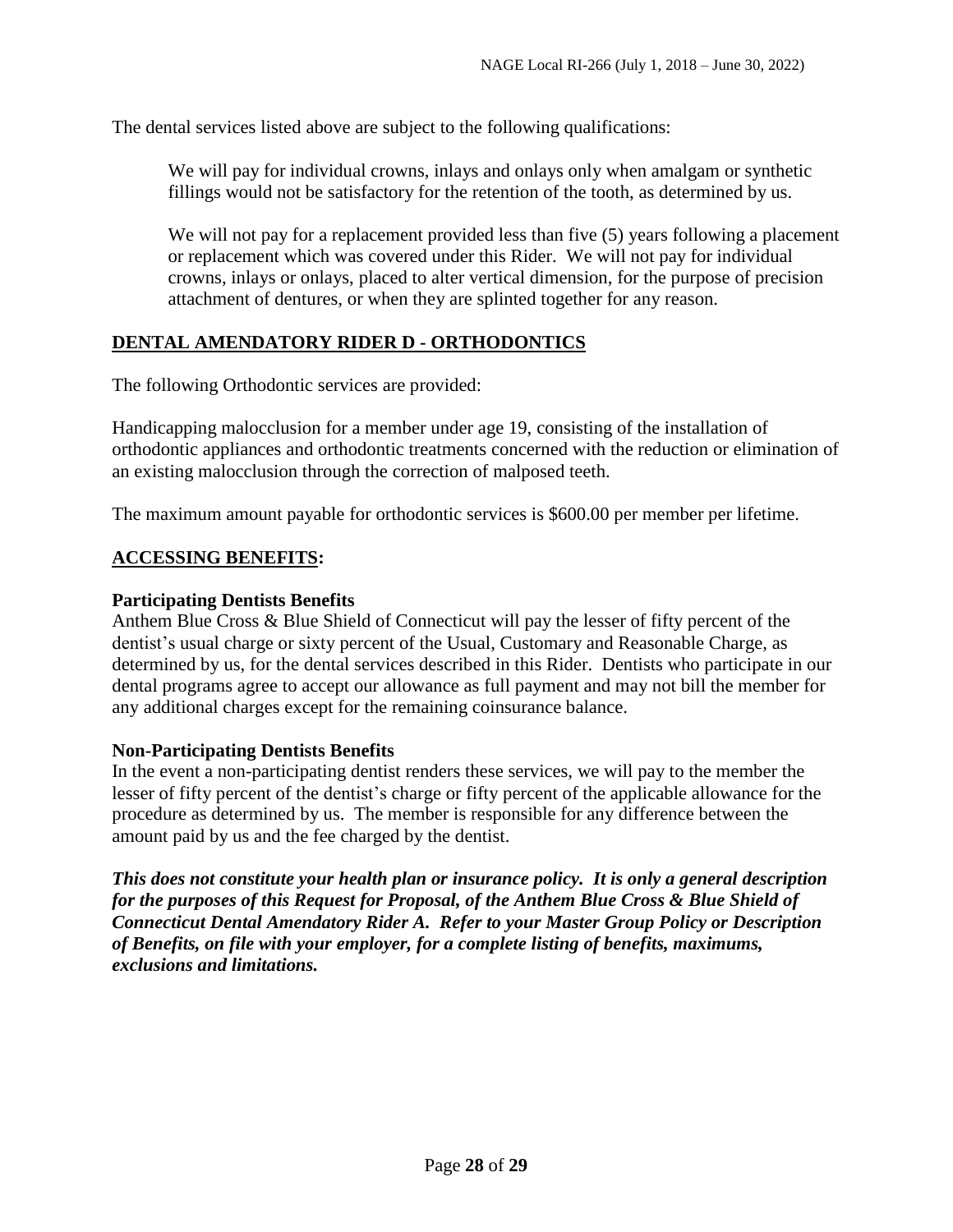The dental services listed above are subject to the following qualifications:

We will pay for individual crowns, inlays and onlays only when amalgam or synthetic fillings would not be satisfactory for the retention of the tooth, as determined by us.

We will not pay for a replacement provided less than five (5) years following a placement or replacement which was covered under this Rider. We will not pay for individual crowns, inlays or onlays, placed to alter vertical dimension, for the purpose of precision attachment of dentures, or when they are splinted together for any reason.

#### **DENTAL AMENDATORY RIDER D - ORTHODONTICS**

The following Orthodontic services are provided:

Handicapping malocclusion for a member under age 19, consisting of the installation of orthodontic appliances and orthodontic treatments concerned with the reduction or elimination of an existing malocclusion through the correction of malposed teeth.

The maximum amount payable for orthodontic services is \$600.00 per member per lifetime.

#### **ACCESSING BENEFITS:**

#### **Participating Dentists Benefits**

Anthem Blue Cross & Blue Shield of Connecticut will pay the lesser of fifty percent of the dentist's usual charge or sixty percent of the Usual, Customary and Reasonable Charge, as determined by us, for the dental services described in this Rider. Dentists who participate in our dental programs agree to accept our allowance as full payment and may not bill the member for any additional charges except for the remaining coinsurance balance.

#### **Non-Participating Dentists Benefits**

In the event a non-participating dentist renders these services, we will pay to the member the lesser of fifty percent of the dentist's charge or fifty percent of the applicable allowance for the procedure as determined by us. The member is responsible for any difference between the amount paid by us and the fee charged by the dentist.

*This does not constitute your health plan or insurance policy. It is only a general description for the purposes of this Request for Proposal, of the Anthem Blue Cross & Blue Shield of Connecticut Dental Amendatory Rider A. Refer to your Master Group Policy or Description of Benefits, on file with your employer, for a complete listing of benefits, maximums, exclusions and limitations.*